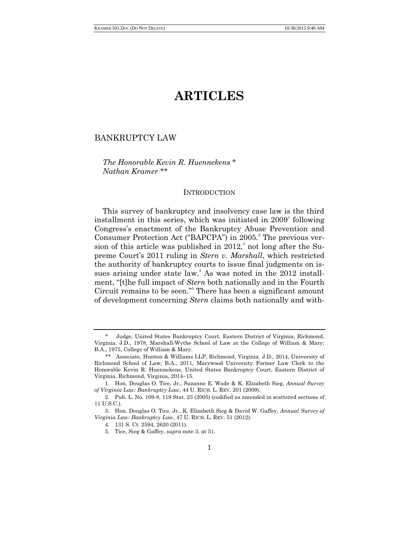# **ARTICLES**

# BANKRUPTCY LAW

# *The Honorable Kevin R. Huennekens* \* *Nathan Kramer* \*\*

#### **INTRODUCTION**

This survey of bankruptcy and insolvency case law is the third installment in this series, which was initiated in  $2009<sup>1</sup>$  following Congress's enactment of the Bankruptcy Abuse Prevention and Consumer Protection Act ("BAPCPA") in 2005.<sup>2</sup> The previous version of this article was published in  $2012$ <sup>3</sup>, not long after the Supreme Court's 2011 ruling in *Stern v. Marshall*, which restricted the authority of bankruptcy courts to issue final judgments on issues arising under state law.<sup>4</sup> As was noted in the  $2012$  installment, "[t]he full impact of *Stern* both nationally and in the Fourth Circuit remains to be seen."<sup>5</sup> There has been a significant amount of development concerning *Stern* claims both nationally and with-

<sup>\*</sup> Judge, United States Bankruptcy Court, Eastern District of Virginia, Richmond, Virginia. J.D., 1978, Marshall-Wythe School of Law at the College of William & Mary; B.A., 1975, College of William & Mary.

<sup>\*\*</sup> Associate, Hunton & Williams LLP, Richmond, Virginia. J.D., 2014, University of Richmond School of Law; B.A., 2011, Marywood University. Former Law Clerk to the Honorable Kevin R. Huennekens, United States Bankruptcy Court, Eastern District of Virginia, Richmond, Virginia, 2014–15.

<sup>1.</sup> Hon. Douglas O. Tice, Jr., Suzanne E. Wade & K. Elizabeth Sieg, *Annual Survey of Virginia Law: Bankruptcy Law*, 44 U. RICH. L. REV. 201 (2009).

<sup>2.</sup> Pub. L. No. 109-8, 119 Stat. 23 (2005) (codified as amended in scattered sections of 11 U.S.C.).

<sup>3.</sup> Hon. Douglas O. Tice, Jr., K. Elizabeth Sieg & David W. Gaffey, *Annual Survey of Virginia Law: Bankruptcy Law*, 47 U. RICH. L. REV. 51 (2012).

<sup>4.</sup> 131 S. Ct. 2594, 2620 (2011).

<sup>5.</sup> Tice, Sieg & Gaffey, *supra* note 3, at 51.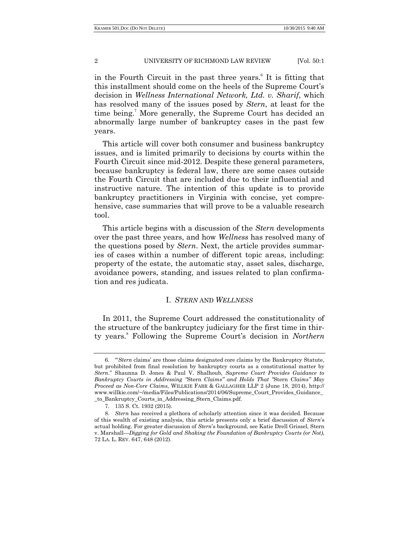in the Fourth Circuit in the past three years.<sup>6</sup> It is fitting that this installment should come on the heels of the Supreme Court's decision in *Wellness International Network, Ltd. v. Sharif*, which has resolved many of the issues posed by *Stern*, at least for the time being.<sup>7</sup> More generally, the Supreme Court has decided an abnormally large number of bankruptcy cases in the past few years.

This article will cover both consumer and business bankruptcy issues, and is limited primarily to decisions by courts within the Fourth Circuit since mid-2012. Despite these general parameters, because bankruptcy is federal law, there are some cases outside the Fourth Circuit that are included due to their influential and instructive nature. The intention of this update is to provide bankruptcy practitioners in Virginia with concise, yet comprehensive, case summaries that will prove to be a valuable research tool.

This article begins with a discussion of the *Stern* developments over the past three years, and how *Wellness* has resolved many of the questions posed by *Stern*. Next, the article provides summaries of cases within a number of different topic areas, including: property of the estate, the automatic stay, asset sales, discharge, avoidance powers, standing, and issues related to plan confirmation and res judicata.

# I. *STERN* AND *WELLNESS*

In 2011, the Supreme Court addressed the constitutionality of the structure of the bankruptcy judiciary for the first time in thirty years.<sup>8</sup> Following the Supreme Court's decision in *Northern* 

<sup>6.</sup> ―‗*Stern* claims' are those claims designated core claims by the Bankruptcy Statute, but prohibited from final resolution by bankruptcy courts as a constitutional matter by *Stern*.‖ Shaunna D. Jones & Paul V. Shalhoub, *Supreme Court Provides Guidance to Bankruptcy Courts in Addressing "*Stern *Claims" and Holds That "*Stern *Claims" May Proceed as Non-Core Claims*, WILLKIE FARR & GALLAGHER LLP 2 (June 18, 2014), http:// www.willkie.com/~/media/Files/Publications/2014/06/Supreme\_Court\_Provides\_Guidance\_ \_to\_Bankruptcy\_Courts\_in\_Addressing\_Stern\_Claims.pdf.

<sup>7.</sup> 135 S. Ct. 1932 (2015).

<sup>8.</sup> *Stern* has received a plethora of scholarly attention since it was decided. Because of this wealth of existing analysis, this article presents only a brief discussion of *Stern*'s actual holding. For greater discussion of *Stern*'s background, see Katie Drell Grissel, Stern v. Marshall*—Digging for Gold and Shaking the Foundation of Bankruptcy Courts (or Not)*, 72 LA. L. REV. 647, 648 (2012).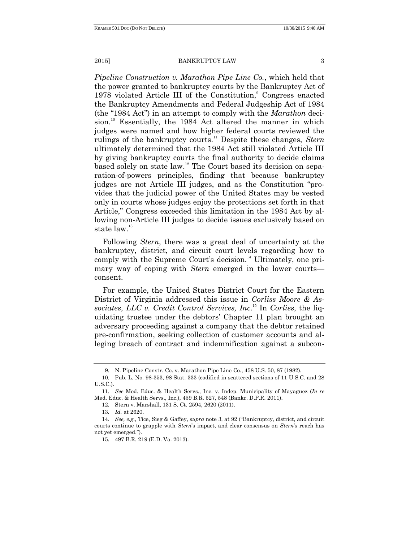*Pipeline Construction v. Marathon Pipe Line Co.*, which held that the power granted to bankruptcy courts by the Bankruptcy Act of 1978 violated Article III of the Constitution,<sup>9</sup> Congress enacted the Bankruptcy Amendments and Federal Judgeship Act of 1984 (the "1984 Act") in an attempt to comply with the *Marathon* decision.<sup>10</sup> Essentially, the 1984 Act altered the manner in which judges were named and how higher federal courts reviewed the rulings of the bankruptcy courts.<sup>11</sup> Despite these changes, *Stern* ultimately determined that the 1984 Act still violated Article III by giving bankruptcy courts the final authority to decide claims based solely on state law.<sup>12</sup> The Court based its decision on separation-of-powers principles, finding that because bankruptcy judges are not Article III judges, and as the Constitution "provides that the judicial power of the United States may be vested only in courts whose judges enjoy the protections set forth in that Article," Congress exceeded this limitation in the 1984 Act by allowing non-Article III judges to decide issues exclusively based on state law.<sup>13</sup>

Following *Stern*, there was a great deal of uncertainty at the bankruptcy, district, and circuit court levels regarding how to comply with the Supreme Court's decision.<sup>14</sup> Ultimately, one primary way of coping with *Stern* emerged in the lower courts consent.

For example, the United States District Court for the Eastern District of Virginia addressed this issue in *Corliss Moore & Associates, LLC v. Credit Control Services, Inc*. <sup>15</sup> In *Corliss*, the liquidating trustee under the debtors' Chapter 11 plan brought an adversary proceeding against a company that the debtor retained pre-confirmation, seeking collection of customer accounts and alleging breach of contract and indemnification against a subcon-

<sup>9.</sup> N. Pipeline Constr. Co. v. Marathon Pipe Line Co., 458 U.S. 50, 87 (1982).

<sup>10.</sup> Pub. L. No. 98-353, 98 Stat. 333 (codified in scattered sections of 11 U.S.C. and 28 U.S.C.).

<sup>11.</sup> *See* Med. Educ. & Health Servs., Inc. v. Indep. Municipality of Mayaguez (*In re* Med. Educ. & Health Servs., Inc.), 459 B.R. 527, 548 (Bankr. D.P.R. 2011).

<sup>12.</sup> Stern v. Marshall, 131 S. Ct. 2594, 2620 (2011).

<sup>13.</sup> *Id.* at 2620.

<sup>14.</sup> *See, e.g.*, Tice, Sieg & Gaffey, *supra* note 3, at 92 ("Bankruptcy, district, and circuit courts continue to grapple with *Stern*'s impact, and clear consensus on *Stern*'s reach has not yet emerged.‖).

<sup>15.</sup> 497 B.R. 219 (E.D. Va. 2013).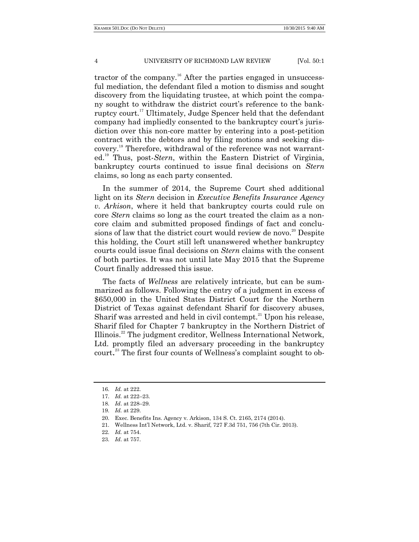tractor of the company.<sup>16</sup> After the parties engaged in unsuccessful mediation, the defendant filed a motion to dismiss and sought discovery from the liquidating trustee, at which point the company sought to withdraw the district court's reference to the bankruptcy court.<sup>17</sup> Ultimately, Judge Spencer held that the defendant company had impliedly consented to the bankruptcy court's jurisdiction over this non-core matter by entering into a post-petition contract with the debtors and by filing motions and seeking discovery. <sup>18</sup> Therefore, withdrawal of the reference was not warranted.<sup>19</sup> Thus, post-*Stern*, within the Eastern District of Virginia, bankruptcy courts continued to issue final decisions on *Stern* claims, so long as each party consented.

In the summer of 2014, the Supreme Court shed additional light on its *Stern* decision in *Executive Benefits Insurance Agency v. Arkison*, where it held that bankruptcy courts could rule on core *Stern* claims so long as the court treated the claim as a noncore claim and submitted proposed findings of fact and conclusions of law that the district court would review de novo.<sup>20</sup> Despite this holding, the Court still left unanswered whether bankruptcy courts could issue final decisions on *Stern* claims with the consent of both parties. It was not until late May 2015 that the Supreme Court finally addressed this issue.

The facts of *Wellness* are relatively intricate, but can be summarized as follows. Following the entry of a judgment in excess of \$650,000 in the United States District Court for the Northern District of Texas against defendant Sharif for discovery abuses, Sharif was arrested and held in civil contempt. $^{21}$  Upon his release, Sharif filed for Chapter 7 bankruptcy in the Northern District of Illinois.<sup>22</sup> The judgment creditor, Wellness International Network, Ltd. promptly filed an adversary proceeding in the bankruptcy court. <sup>23</sup> The first four counts of Wellness's complaint sought to ob-

<sup>16.</sup> *Id.* at 222.

<sup>17.</sup> *Id.* at 222–23.

<sup>18.</sup> *Id*. at 228–29.

<sup>19.</sup> *Id.* at 229.

<sup>20.</sup> Exec. Benefits Ins. Agency v. Arkison, 134 S. Ct. 2165, 2174 (2014).

<sup>21.</sup> Wellness Int'l Network, Ltd. v. Sharif, 727 F.3d 751, 756 (7th Cir. 2013).

<sup>22.</sup> *Id.* at 754.

<sup>23.</sup> *Id*. at 757.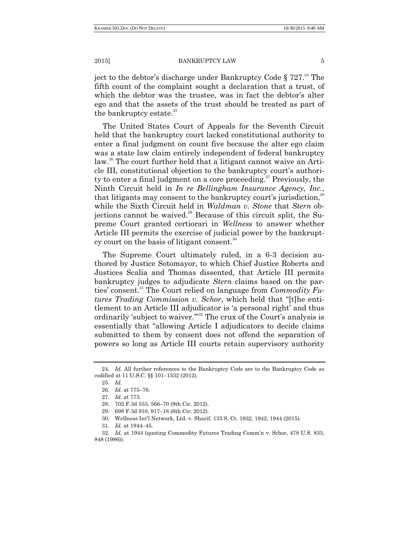ject to the debtor's discharge under Bankruptcy Code  $\S 727.^{24}$  The fifth count of the complaint sought a declaration that a trust, of which the debtor was the trustee, was in fact the debtor's alter ego and that the assets of the trust should be treated as part of the bankruptcy estate.<sup>25</sup>

The United States Court of Appeals for the Seventh Circuit held that the bankruptcy court lacked constitutional authority to enter a final judgment on count five because the alter ego claim was a state law claim entirely independent of federal bankruptcy law.<sup>26</sup> The court further held that a litigant cannot waive an Article III, constitutional objection to the bankruptcy court's authority to enter a final judgment on a core proceeding.<sup>27</sup> Previously, the Ninth Circuit held in *In re Bellingham Insurance Agency, Inc.*, that litigants may consent to the bankruptcy court's jurisdiction.<sup>28</sup> while the Sixth Circuit held in *Waldman v. Stone* that *Stern* objections cannot be waived.<sup>29</sup> Because of this circuit split, the Supreme Court granted certiorari in *Wellness* to answer whether Article III permits the exercise of judicial power by the bankruptcy court on the basis of litigant consent.<sup>30</sup>

The Supreme Court ultimately ruled, in a 6-3 decision authored by Justice Sotomayor, to which Chief Justice Roberts and Justices Scalia and Thomas dissented, that Article III permits bankruptcy judges to adjudicate *Stern* claims based on the parties' consent.<sup>31</sup> The Court relied on language from *Commodity Futures Trading Commission v. Schor*, which held that "[t]he entitlement to an Article III adjudicator is 'a personal right' and thus ordinarily 'subject to waiver."<sup>32</sup> The crux of the Court's analysis is essentially that "allowing Article I adjudicators to decide claims" submitted to them by consent does not offend the separation of powers so long as Article III courts retain supervisory authority

<sup>24.</sup> *Id.* All further references to the Bankruptcy Code are to the Bankruptcy Code as codified at 11 U.S.C. §§ 101–1532 (2012).

<sup>25.</sup> *Id.*

<sup>26.</sup> *Id.* at 775–76.

<sup>27.</sup> *Id.* at 773.

<sup>28.</sup> 702 F.3d 553, 566–70 (9th Cir. 2012).

<sup>29.</sup> 698 F.3d 910, 917–18 (6th Cir. 2012).

<sup>30.</sup> Wellness Int'l Network, Ltd. v. Sharif, 135 S. Ct. 1932, 1942, 1944 (2015).

<sup>31.</sup> *Id.* at 1944–45.

<sup>32.</sup> *Id.* at 1944 (quoting Commodity Futures Trading Comm'n v. Schor, 478 U.S. 833, 848 (1986)).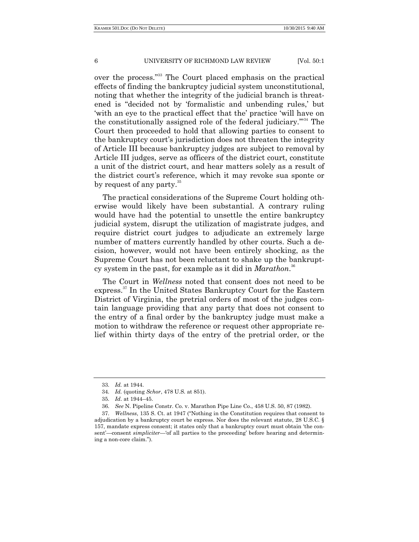over the process."<sup>33</sup> The Court placed emphasis on the practical effects of finding the bankruptcy judicial system unconstitutional, noting that whether the integrity of the judicial branch is threatened is "decided not by 'formalistic and unbending rules,' but ‗with an eye to the practical effect that the' practice ‗will have on the constitutionally assigned role of the federal judiciary. $\mathbb{S}^{34}$  The Court then proceeded to hold that allowing parties to consent to the bankruptcy court's jurisdiction does not threaten the integrity of Article III because bankruptcy judges are subject to removal by Article III judges, serve as officers of the district court, constitute a unit of the district court, and hear matters solely as a result of the district court's reference, which it may revoke sua sponte or by request of any party.<sup>35</sup>

The practical considerations of the Supreme Court holding otherwise would likely have been substantial. A contrary ruling would have had the potential to unsettle the entire bankruptcy judicial system, disrupt the utilization of magistrate judges, and require district court judges to adjudicate an extremely large number of matters currently handled by other courts. Such a decision, however, would not have been entirely shocking, as the Supreme Court has not been reluctant to shake up the bankruptcy system in the past, for example as it did in *Marathon*. 36

The Court in *Wellness* noted that consent does not need to be express. <sup>37</sup> In the United States Bankruptcy Court for the Eastern District of Virginia, the pretrial orders of most of the judges contain language providing that any party that does not consent to the entry of a final order by the bankruptcy judge must make a motion to withdraw the reference or request other appropriate relief within thirty days of the entry of the pretrial order, or the

<sup>33.</sup> *Id.* at 1944.

<sup>34.</sup> *Id.* (quoting *Schor*, 478 U.S. at 851).

<sup>35.</sup> *Id*. at 1944–45.

<sup>36.</sup> *See* N. Pipeline Constr. Co. v. Marathon Pipe Line Co., 458 U.S. 50, 87 (1982).

<sup>37.</sup> *Wellness*, 135 S. Ct. at 1947 ("Nothing in the Constitution requires that consent to adjudication by a bankruptcy court be express. Nor does the relevant statute, 28 U.S.C. § 157, mandate express consent; it states only that a bankruptcy court must obtain ‗the consent'—consent *simpliciter*—'of all parties to the proceeding' before hearing and determining a non-core claim.").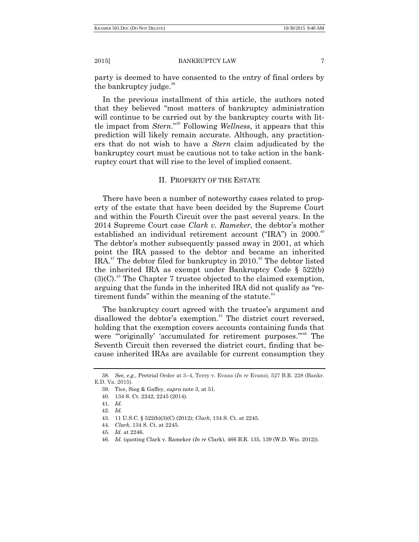party is deemed to have consented to the entry of final orders by the bankruptcy judge.<sup>38</sup>

In the previous installment of this article, the authors noted that they believed "most matters of bankruptcy administration will continue to be carried out by the bankruptcy courts with little impact from *Stern*."<sup>39</sup> Following *Wellness*, it appears that this prediction will likely remain accurate. Although, any practitioners that do not wish to have a *Stern* claim adjudicated by the bankruptcy court must be cautious not to take action in the bankruptcy court that will rise to the level of implied consent.

# II. PROPERTY OF THE ESTATE

There have been a number of noteworthy cases related to property of the estate that have been decided by the Supreme Court and within the Fourth Circuit over the past several years. In the 2014 Supreme Court case *Clark v. Rameker*, the debtor's mother established an individual retirement account ("IRA") in  $2000$ .<sup>40</sup> The debtor's mother subsequently passed away in 2001, at which point the IRA passed to the debtor and became an inherited IRA.<sup>41</sup> The debtor filed for bankruptcy in 2010.<sup>42</sup> The debtor listed the inherited IRA as exempt under Bankruptcy Code § 522(b)  $(3)(C)$ <sup>43</sup>. The Chapter 7 trustee objected to the claimed exemption, arguing that the funds in the inherited IRA did not qualify as "retirement funds" within the meaning of the statute. $44$ 

The bankruptcy court agreed with the trustee's argument and disallowed the debtor's exemption.<sup>45</sup> The district court reversed, holding that the exemption covers accounts containing funds that were "originally' 'accumulated for retirement purposes."<sup>46</sup> The Seventh Circuit then reversed the district court, finding that because inherited IRAs are available for current consumption they

<sup>38.</sup> *See, e.g.*, Pretrial Order at 3–4, Terry v. Evans (*In re* Evans), 527 B.R. 228 (Bankr. E.D. Va. 2015).

<sup>39.</sup> Tice, Sieg & Gaffey, *supra* note 3, at 51.

<sup>40.</sup> 134 S. Ct. 2242, 2245 (2014).

<sup>41.</sup> *Id.*

<sup>42.</sup> *Id.*

<sup>43.</sup> 11 U.S.C. § 522(b)(3)(C) (2012); *Clark*, 134 S. Ct. at 2245.

<sup>44.</sup> *Clark*, 134 S. Ct. at 2245.

<sup>45.</sup> *Id.* at 2246.

<sup>46.</sup> *Id.* (quoting Clark v. Rameker (*In re* Clark), 466 B.R. 135, 139 (W.D. Wis. 2012)).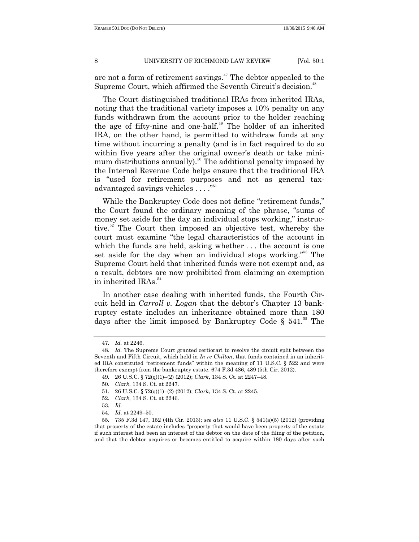are not a form of retirement savings.<sup>47</sup> The debtor appealed to the Supreme Court, which affirmed the Seventh Circuit's decision.<sup>48</sup>

The Court distinguished traditional IRAs from inherited IRAs, noting that the traditional variety imposes a 10% penalty on any funds withdrawn from the account prior to the holder reaching the age of fifty-nine and one-half.<sup>49</sup> The holder of an inherited IRA, on the other hand, is permitted to withdraw funds at any time without incurring a penalty (and is in fact required to do so within five years after the original owner's death or take minimum distributions annually).<sup>50</sup> The additional penalty imposed by the Internal Revenue Code helps ensure that the traditional IRA is "used for retirement purposes and not as general taxadvantaged savings vehicles  $\dots$ ."<sup>51</sup>

While the Bankruptcy Code does not define "retirement funds," the Court found the ordinary meaning of the phrase, "sums of money set aside for the day an individual stops working," instructive.<sup>52</sup> The Court then imposed an objective test, whereby the court must examine "the legal characteristics of the account in which the funds are held, asking whether . . . the account is one set aside for the day when an individual stops working."<sup>53</sup> The Supreme Court held that inherited funds were not exempt and, as a result, debtors are now prohibited from claiming an exemption in inherited IRAs.<sup>54</sup>

In another case dealing with inherited funds, the Fourth Circuit held in *Carroll v. Logan* that the debtor's Chapter 13 bankruptcy estate includes an inheritance obtained more than 180 days after the limit imposed by Bankruptcy Code §  $541.^{55}$  The

<sup>47.</sup> *Id.* at 2246.

<sup>48.</sup> *Id.* The Supreme Court granted certiorari to resolve the circuit split between the Seventh and Fifth Circuit, which held in *In re Chilton*, that funds contained in an inherited IRA constituted "retirement funds" within the meaning of 11 U.S.C.  $\S$  522 and were therefore exempt from the bankruptcy estate. 674 F.3d 486, 489 (5th Cir. 2012).

<sup>49.</sup> 26 U.S.C. § 72(q)(1)–(2) (2012); *Clark*, 134 S. Ct. at 2247–48.

<sup>50.</sup> *Clark*, 134 S. Ct. at 2247.

<sup>51.</sup> 26 U.S.C. § 72(q)(1)–(2) (2012); *Clark*, 134 S. Ct. at 2245.

<sup>52.</sup> *Clark*, 134 S. Ct. at 2246.

<sup>53.</sup> *Id.*

<sup>54.</sup> *Id*. at 2249–50.

<sup>55.</sup> 735 F.3d 147, 152 (4th Cir. 2013); *see also* 11 U.S.C. § 541(a)(5) (2012) (providing that property of the estate includes "property that would have been property of the estate if such interest had been an interest of the debtor on the date of the filing of the petition, and that the debtor acquires or becomes entitled to acquire within 180 days after such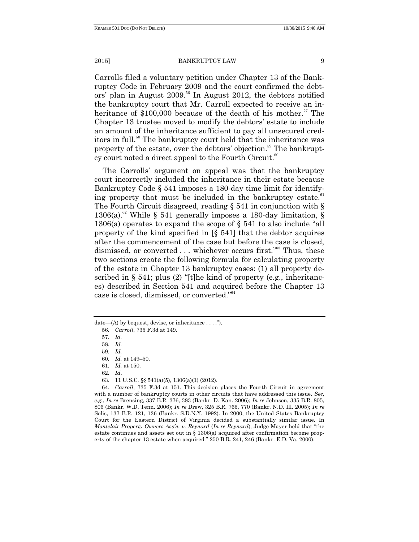Carrolls filed a voluntary petition under Chapter 13 of the Bankruptcy Code in February 2009 and the court confirmed the debtors' plan in August 2009.<sup>56</sup> In August 2012, the debtors notified the bankruptcy court that Mr. Carroll expected to receive an inheritance of \$100,000 because of the death of his mother.<sup>57</sup> The Chapter 13 trustee moved to modify the debtors' estate to include an amount of the inheritance sufficient to pay all unsecured creditors in full.<sup>58</sup> The bankruptcy court held that the inheritance was property of the estate, over the debtors' objection.<sup>59</sup> The bankruptcy court noted a direct appeal to the Fourth Circuit. $60$ 

The Carrolls' argument on appeal was that the bankruptcy court incorrectly included the inheritance in their estate because Bankruptcy Code § 541 imposes a 180-day time limit for identifying property that must be included in the bankruptcy estate.<sup>61</sup> The Fourth Circuit disagreed, reading § 541 in conjunction with § 1306(a).<sup>62</sup> While § 541 generally imposes a 180-day limitation, § 1306(a) operates to expand the scope of  $\S$  541 to also include "all property of the kind specified in [§ 541] that the debtor acquires after the commencement of the case but before the case is closed, dismissed, or converted ... whichever occurs first."<sup>63</sup> Thus, these two sections create the following formula for calculating property of the estate in Chapter 13 bankruptcy cases: (1) all property described in  $\S$  541; plus (2) "[t]he kind of property (e.g., inheritances) described in Section 541 and acquired before the Chapter 13 case is closed, dismissed, or converted."<sup>64</sup>

- 62. *Id*.
- 63. 11 U.S.C. §§ 541(a)(5), 1306(a)(1) (2012).

64. *Carroll*, 735 F.3d at 151. This decision places the Fourth Circuit in agreement with a number of bankruptcy courts in other circuits that have addressed this issue. *See, e.g.*, *In re* Brensing, 337 B.R. 376, 383 (Bankr. D. Kan. 2006); *In re* Johnson, 335 B.R. 805, 806 (Bankr. W.D. Tenn. 2006); *In re* Drew, 325 B.R. 765, 770 (Bankr. N.D. Ill. 2005); *In re* Solis, 137 B.R. 121, 126 (Bankr. S.D.N.Y. 1992). In 2000, the United States Bankruptcy Court for the Eastern District of Virginia decided a substantially similar issue. In *Montclair Property Owners Ass'n. v. Reynard (In re Reynard), Judge Mayer held that "the* estate continues and assets set out in § 1306(a) acquired after confirmation become property of the chapter 13 estate when acquired." 250 B.R. 241, 246 (Bankr. E.D. Va. 2000).

date—(A) by bequest, devise, or inheritance  $\dots$  .").

<sup>56.</sup> *Carroll*, 735 F.3d at 149.

<sup>57.</sup> *Id.*

<sup>58.</sup> *Id.*

<sup>59.</sup> *Id.*

<sup>60.</sup> *Id.* at 149–50.

<sup>61.</sup> *Id.* at 150.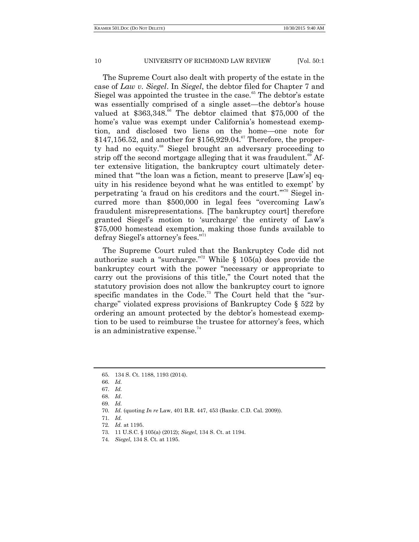The Supreme Court also dealt with property of the estate in the case of *Law v. Siegel*. In *Siegel*, the debtor filed for Chapter 7 and Siegel was appointed the trustee in the case.<sup>65</sup> The debtor's estate was essentially comprised of a single asset—the debtor's house valued at  $$363,348$ .<sup>66</sup> The debtor claimed that  $$75,000$  of the home's value was exempt under California's homestead exemption, and disclosed two liens on the home—one note for  $$147,156.52$ , and another for  $$156,929.04$ .<sup>67</sup> Therefore, the property had no equity.<sup>68</sup> Siegel brought an adversary proceeding to strip off the second mortgage alleging that it was fraudulent.<sup>69</sup> After extensive litigation, the bankruptcy court ultimately determined that "the loan was a fiction, meant to preserve [Law's] equity in his residence beyond what he was entitled to exempt' by perpetrating 'a fraud on his creditors and the court."<sup>70</sup> Siegel incurred more than \$500,000 in legal fees "overcoming Law's fraudulent misrepresentations. [The bankruptcy court] therefore granted Siegel's motion to 'surcharge' the entirety of Law's \$75,000 homestead exemption, making those funds available to defray Siegel's attorney's fees."<sup>71</sup>

The Supreme Court ruled that the Bankruptcy Code did not authorize such a "surcharge."<sup>72</sup> While § 105(a) does provide the bankruptcy court with the power "necessary or appropriate to carry out the provisions of this title," the Court noted that the statutory provision does not allow the bankruptcy court to ignore specific mandates in the Code.<sup>73</sup> The Court held that the "surcharge" violated express provisions of Bankruptcy Code  $\S$  522 by ordering an amount protected by the debtor's homestead exemption to be used to reimburse the trustee for attorney's fees, which is an administrative expense. $74$ 

<sup>65.</sup> 134 S. Ct. 1188, 1193 (2014).

<sup>66.</sup> *Id.*

<sup>67.</sup> *Id.*

<sup>68.</sup> *Id*.

<sup>69.</sup> *Id.*

<sup>70.</sup> *Id.* (quoting *In re* Law, 401 B.R. 447, 453 (Bankr. C.D. Cal. 2009)).

<sup>71.</sup> *Id.*

<sup>72.</sup> *Id.* at 1195.

<sup>73.</sup> 11 U.S.C. § 105(a) (2012); *Siegel*, 134 S. Ct. at 1194.

<sup>74.</sup> *Siegel*, 134 S. Ct. at 1195.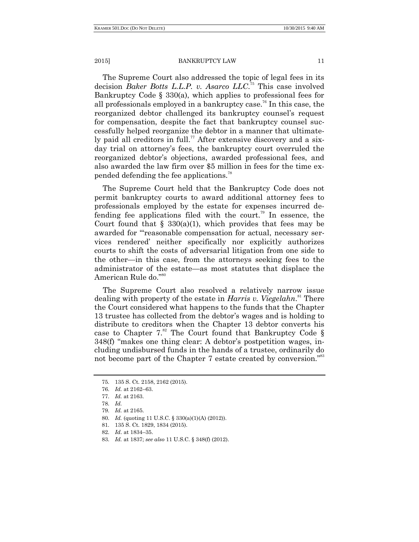The Supreme Court also addressed the topic of legal fees in its decision *Baker Botts L.L.P. v. Asarco LLC*. <sup>75</sup> This case involved Bankruptcy Code § 330(a), which applies to professional fees for all professionals employed in a bankruptcy case. <sup>76</sup> In this case, the reorganized debtor challenged its bankruptcy counsel's request for compensation, despite the fact that bankruptcy counsel successfully helped reorganize the debtor in a manner that ultimately paid all creditors in full.<sup> $77$ </sup> After extensive discovery and a sixday trial on attorney's fees, the bankruptcy court overruled the reorganized debtor's objections, awarded professional fees, and also awarded the law firm over \$5 million in fees for the time expended defending the fee applications.<sup>78</sup>

The Supreme Court held that the Bankruptcy Code does not permit bankruptcy courts to award additional attorney fees to professionals employed by the estate for expenses incurred defending fee applications filed with the court.<sup>79</sup> In essence, the Court found that  $\S$  330(a)(1), which provides that fees may be awarded for "reasonable compensation for actual, necessary services rendered' neither specifically nor explicitly authorizes courts to shift the costs of adversarial litigation from one side to the other—in this case, from the attorneys seeking fees to the administrator of the estate—as most statutes that displace the American Rule do."<sup>80</sup>

The Supreme Court also resolved a relatively narrow issue dealing with property of the estate in *Harris v. Viegelahn*. <sup>81</sup> There the Court considered what happens to the funds that the Chapter 13 trustee has collected from the debtor's wages and is holding to distribute to creditors when the Chapter 13 debtor converts his case to Chapter  $7.^{82}$  The Court found that Bankruptcy Code § 348(f) "makes one thing clear: A debtor's postpetition wages, including undisbursed funds in the hands of a trustee, ordinarily do not become part of the Chapter 7 estate created by conversion."<sup>83</sup>

<sup>75.</sup> 135 S. Ct. 2158, 2162 (2015).

<sup>76.</sup> *Id.* at 2162–63.

<sup>77.</sup> *Id.* at 2163.

<sup>78.</sup> *Id.*

<sup>79.</sup> *Id.* at 2165.

<sup>80.</sup> *Id.* (quoting 11 U.S.C. § 330(a)(1)(A) (2012)).

<sup>81.</sup> 135 S. Ct. 1829, 1834 (2015).

<sup>82.</sup> *Id*. at 1834–35.

<sup>83.</sup> *Id.* at 1837; *see also* 11 U.S.C. § 348(f) (2012).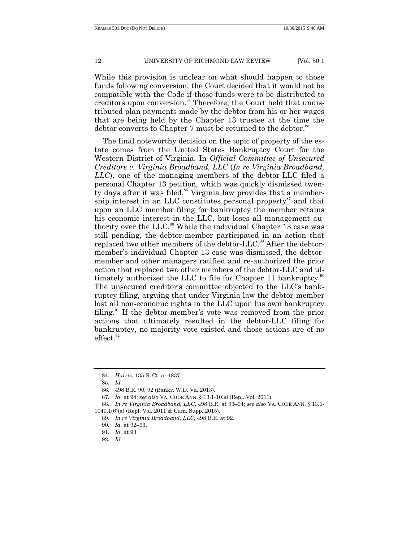While this provision is unclear on what should happen to those funds following conversion, the Court decided that it would not be compatible with the Code if those funds were to be distributed to creditors upon conversion.<sup>84</sup> Therefore, the Court held that undistributed plan payments made by the debtor from his or her wages that are being held by the Chapter 13 trustee at the time the debtor converts to Chapter 7 must be returned to the debtor.<sup>85</sup>

The final noteworthy decision on the topic of property of the estate comes from the United States Bankruptcy Court for the Western District of Virginia. In *Official Committee of Unsecured Creditors v. Virginia Broadband, LLC* (*In re Virginia Broadband, LLC*), one of the managing members of the debtor-LLC filed a personal Chapter 13 petition, which was quickly dismissed twenty days after it was filed.<sup>86</sup> Virginia law provides that a membership interest in an LLC constitutes personal property<sup>87</sup> and that upon an LLC member filing for bankruptcy the member retains his economic interest in the LLC, but loses all management authority over the LLC.<sup>88</sup> While the individual Chapter 13 case was still pending, the debtor-member participated in an action that replaced two other members of the debtor-LLC.<sup>89</sup> After the debtormember's individual Chapter 13 case was dismissed, the debtormember and other managers ratified and re-authorized the prior action that replaced two other members of the debtor-LLC and ultimately authorized the LLC to file for Chapter 11 bankruptcy.<sup>90</sup> The unsecured creditor's committee objected to the LLC's bankruptcy filing, arguing that under Virginia law the debtor-member lost all non-economic rights in the LLC upon his own bankruptcy filing. $91$  If the debtor-member's vote was removed from the prior actions that ultimately resulted in the debtor-LLC filing for bankruptcy, no majority vote existed and those actions are of no  $effect.<sup>92</sup>$ 

<sup>84.</sup> *Harris*, 135 S. Ct. at 1837.

<sup>85.</sup> *Id.*

<sup>86.</sup> 498 B.R. 90, 92 (Bankr. W.D. Va. 2013).

<sup>87.</sup> *Id.* at 94; *see also* VA. CODE ANN. § 13.1-1038 (Repl. Vol. 2011).

<sup>88.</sup> *In re Virginia Broadband, LLC*, 498 B.R. at 93–94; *see also* VA. CODE ANN. § 13.1- 1040.1(6)(a) (Repl. Vol. 2011 & Cum. Supp. 2015).

<sup>89.</sup> *In re Virginia Broadband*, *LLC*, 498 B.R. at 92.

<sup>90.</sup> *Id.* at 92–93.

<sup>91.</sup> *Id*. at 93.

<sup>92.</sup> *Id.*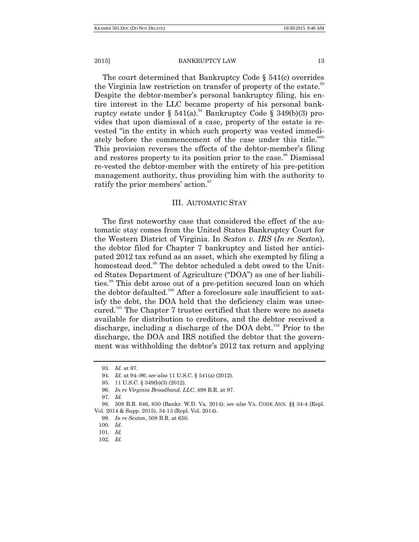The court determined that Bankruptcy Code § 541(c) overrides the Virginia law restriction on transfer of property of the estate.<sup>93</sup> Despite the debtor-member's personal bankruptcy filing, his entire interest in the LLC became property of his personal bankruptcy estate under §  $541(a)$ .<sup>94</sup> Bankruptcy Code § 349(b)(3) provides that upon dismissal of a case, property of the estate is revested "in the entity in which such property was vested immediately before the commencement of the case under this title."<sup>95</sup> This provision reverses the effects of the debtor-member's filing and restores property to its position prior to the case.<sup>96</sup> Dismissal re-vested the debtor-member with the entirety of his pre-petition management authority, thus providing him with the authority to ratify the prior members' action.<sup>97</sup>

# III. AUTOMATIC STAY

The first noteworthy case that considered the effect of the automatic stay comes from the United States Bankruptcy Court for the Western District of Virginia. In *Sexton v. IRS* (*In re Sexton*), the debtor filed for Chapter 7 bankruptcy and listed her anticipated 2012 tax refund as an asset, which she exempted by filing a homestead deed.<sup>98</sup> The debtor scheduled a debt owed to the United States Department of Agriculture ("DOA") as one of her liabilities.<sup>99</sup> This debt arose out of a pre-petition secured loan on which the debtor defaulted.<sup>100</sup> After a foreclosure sale insufficient to satisfy the debt, the DOA held that the deficiency claim was unsecured. <sup>101</sup> The Chapter 7 trustee certified that there were no assets available for distribution to creditors, and the debtor received a discharge, including a discharge of the DOA debt.<sup>102</sup> Prior to the discharge, the DOA and IRS notified the debtor that the government was withholding the debtor's 2012 tax return and applying

<sup>93.</sup> *Id.* at 97.

<sup>94.</sup> *Id.* at 94–96; *see also* 11 U.S.C. § 541(a) (2012).

<sup>95.</sup> 11 U.S.C. § 349(b)(3) (2012).

<sup>96.</sup> *In re Virginia Broadband*, *LLC*, 498 B.R. at 97.

<sup>97.</sup> *Id.*

<sup>98.</sup> 508 B.R. 646, 650 (Bankr. W.D. Va. 2014); *see also* VA. CODE ANN. §§ 34-4 (Repl. Vol. 2014 & Supp. 2015), 34-13 (Repl. Vol. 2014).

<sup>99.</sup> *In re Sexton*, 508 B.R. at 650.

<sup>100.</sup> *Id*.

<sup>101.</sup> *Id.*

<sup>102.</sup> *Id.*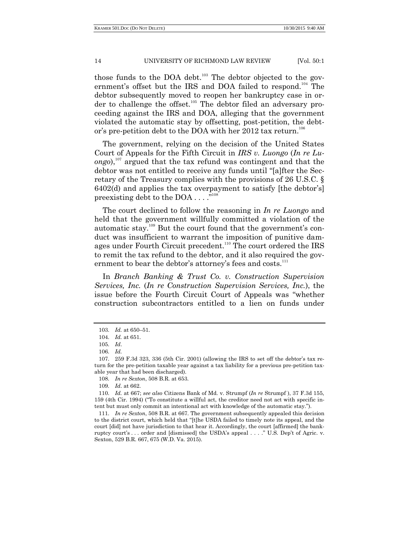those funds to the DOA debt.<sup>103</sup> The debtor objected to the government's offset but the IRS and DOA failed to respond.<sup>104</sup> The debtor subsequently moved to reopen her bankruptcy case in order to challenge the offset.<sup>105</sup> The debtor filed an adversary proceeding against the IRS and DOA, alleging that the government violated the automatic stay by offsetting, post-petition, the debtor's pre-petition debt to the DOA with her 2012 tax return.<sup>106</sup>

The government, relying on the decision of the United States Court of Appeals for the Fifth Circuit in *IRS v. Luongo* (*In re Luongo*), <sup>107</sup> argued that the tax refund was contingent and that the debtor was not entitled to receive any funds until "[a]fter the Secretary of the Treasury complies with the provisions of 26 U.S.C. § 6402(d) and applies the tax overpayment to satisfy [the debtor's] preexisting debt to the DOA  $\dots$ ."

The court declined to follow the reasoning in *In re Luongo* and held that the government willfully committed a violation of the automatic stay.<sup>109</sup> But the court found that the government's conduct was insufficient to warrant the imposition of punitive damages under Fourth Circuit precedent.<sup>110</sup> The court ordered the IRS to remit the tax refund to the debtor, and it also required the government to bear the debtor's attorney's fees and costs.<sup>111</sup>

In *Branch Banking & Trust Co. v. Construction Supervision Services, Inc.* (*In re Construction Supervision Services, Inc.*), the issue before the Fourth Circuit Court of Appeals was "whether construction subcontractors entitled to a lien on funds under

111. *In re Sexton*, 508 B.R. at 667. The government subsequently appealed this decision to the district court, which held that "[t]he USDA failed to timely note its appeal, and the court [did] not have jurisdiction to that hear it. Accordingly, the court [affirmed] the bankruptcy court's . . . order and [dismissed] the USDA's appeal . . . . " U.S. Dep't of Agric. v. Sexton, 529 B.R. 667, 675 (W.D. Va. 2015).

<sup>103.</sup> *Id.* at 650–51.

<sup>104.</sup> *Id.* at 651.

<sup>105.</sup> *Id*.

<sup>106.</sup> *Id.*

<sup>107.</sup> 259 F.3d 323, 336 (5th Cir. 2001) (allowing the IRS to set off the debtor's tax return for the pre-petition taxable year against a tax liability for a previous pre-petition taxable year that had been discharged).

<sup>108.</sup> *In re Sexton*, 508 B.R. at 653.

<sup>109.</sup> *Id*. at 662.

<sup>110.</sup> *Id.* at 667; *see also* Citizens Bank of Md. v. Strumpf (*In re* Strumpf ), 37 F.3d 155, 159 (4th Cir. 1994) ("To constitute a willful act, the creditor need not act with specific intent but must only commit an intentional act with knowledge of the automatic stay.").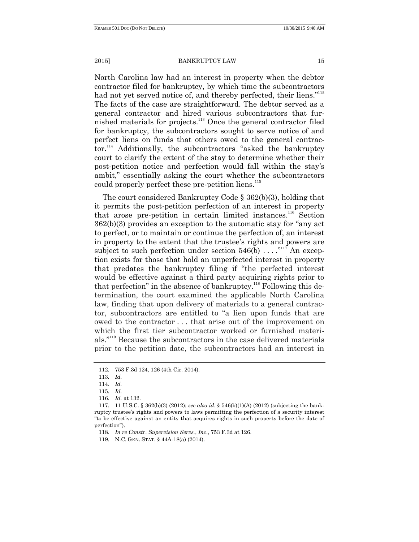North Carolina law had an interest in property when the debtor contractor filed for bankruptcy, by which time the subcontractors had not yet served notice of, and thereby perfected, their liens."<sup>112</sup> The facts of the case are straightforward. The debtor served as a general contractor and hired various subcontractors that furnished materials for projects.<sup>113</sup> Once the general contractor filed for bankruptcy, the subcontractors sought to serve notice of and perfect liens on funds that others owed to the general contrac $tor.<sup>114</sup>$  Additionally, the subcontractors "asked the bankruptcy court to clarify the extent of the stay to determine whether their post-petition notice and perfection would fall within the stay's ambit," essentially asking the court whether the subcontractors could properly perfect these pre-petition liens.<sup>115</sup>

The court considered Bankruptcy Code § 362(b)(3), holding that it permits the post-petition perfection of an interest in property that arose pre-petition in certain limited instances.<sup>116</sup> Section  $362(b)(3)$  provides an exception to the automatic stay for "any act" to perfect, or to maintain or continue the perfection of, an interest in property to the extent that the trustee's rights and powers are subject to such perfection under section  $546(b) \ldots$ ."<sup>117</sup> An exception exists for those that hold an unperfected interest in property that predates the bankruptcy filing if "the perfected interest" would be effective against a third party acquiring rights prior to that perfection" in the absence of bankruptcy.<sup>118</sup> Following this determination, the court examined the applicable North Carolina law, finding that upon delivery of materials to a general contractor, subcontractors are entitled to "a lien upon funds that are owed to the contractor . . . that arise out of the improvement on which the first tier subcontractor worked or furnished materials."<sup>119</sup> Because the subcontractors in the case delivered materials prior to the petition date, the subcontractors had an interest in

<sup>112.</sup> 753 F.3d 124, 126 (4th Cir. 2014).

<sup>113.</sup> *Id.*

<sup>114.</sup> *Id.*

<sup>115.</sup> *Id.*

<sup>116.</sup> *Id.* at 132.

<sup>117.</sup> 11 U.S.C. § 362(b)(3) (2012); *see also id*. § 546(b)(1)(A) (2012) (subjecting the bankruptcy trustee's rights and powers to laws permitting the perfection of a security interest ―to be effective against an entity that acquires rights in such property before the date of perfection").

<sup>118.</sup> *In re Constr*. *Supervision Servs.*, *Inc*., 753 F.3d at 126.

<sup>119.</sup> N.C. GEN. STAT. § 44A-18(a) (2014).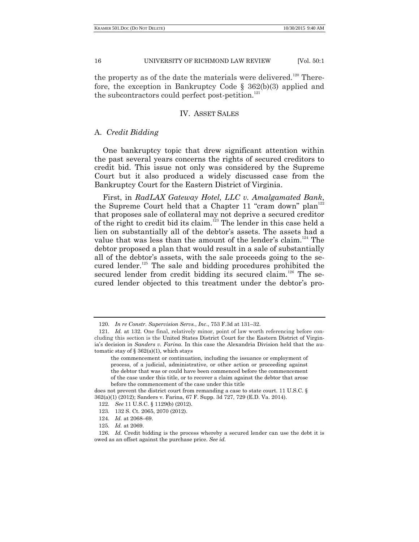the property as of the date the materials were delivered.<sup>120</sup> Therefore, the exception in Bankruptcy Code § 362(b)(3) applied and the subcontractors could perfect post-petition.<sup>121</sup>

# IV. ASSET SALES

# A. *Credit Bidding*

One bankruptcy topic that drew significant attention within the past several years concerns the rights of secured creditors to credit bid. This issue not only was considered by the Supreme Court but it also produced a widely discussed case from the Bankruptcy Court for the Eastern District of Virginia.

First, in *RadLAX Gateway Hotel, LLC v. Amalgamated Bank*, the Supreme Court held that a Chapter 11 "cram down" plan<sup>122</sup> that proposes sale of collateral may not deprive a secured creditor of the right to credit bid its claim.<sup>123</sup> The lender in this case held a lien on substantially all of the debtor's assets. The assets had a value that was less than the amount of the lender's claim.<sup>124</sup> The debtor proposed a plan that would result in a sale of substantially all of the debtor's assets, with the sale proceeds going to the secured lender. $125$  The sale and bidding procedures prohibited the secured lender from credit bidding its secured claim.<sup>126</sup> The secured lender objected to this treatment under the debtor's pro-

<sup>120.</sup> *In re Constr. Supervision Servs.*, *Inc*., 753 F.3d at 131–32.

<sup>121.</sup> *Id.* at 132. One final, relatively minor, point of law worth referencing before concluding this section is the United States District Court for the Eastern District of Virginia's decision in *Sanders v. Farina*. In this case the Alexandria Division held that the automatic stay of  $\S 362(a)(1)$ , which stays

the commencement or continuation, including the issuance or employment of process, of a judicial, administrative, or other action or proceeding against the debtor that was or could have been commenced before the commencement of the case under this title, or to recover a claim against the debtor that arose before the commencement of the case under this title

does not prevent the district court from remanding a case to state court. 11 U.S.C. § 362(a)(1) (2012); Sanders v. Farina, 67 F. Supp. 3d 727, 729 (E.D. Va. 2014).

<sup>122.</sup> *See* 11 U.S.C. § 1129(b) (2012).

<sup>123.</sup> 132 S. Ct. 2065, 2070 (2012).

<sup>124.</sup> *Id.* at 2068–69.

<sup>125.</sup> *Id.* at 2069.

<sup>126.</sup> *Id.* Credit bidding is the process whereby a secured lender can use the debt it is owed as an offset against the purchase price. *See id.*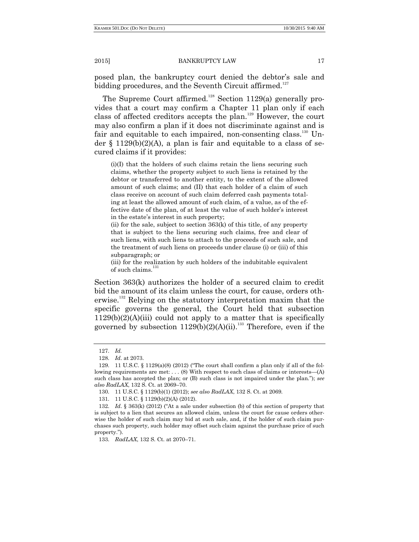posed plan, the bankruptcy court denied the debtor's sale and bidding procedures, and the Seventh Circuit affirmed.<sup>127</sup>

The Supreme Court affirmed.<sup>128</sup> Section 1129(a) generally provides that a court may confirm a Chapter 11 plan only if each class of affected creditors accepts the plan.<sup>129</sup> However, the court may also confirm a plan if it does not discriminate against and is fair and equitable to each impaired, non-consenting class.<sup>130</sup> Under  $\S$  1129(b)(2)(A), a plan is fair and equitable to a class of secured claims if it provides:

 $(i)(I)$  that the holders of such claims retain the liens securing such claims, whether the property subject to such liens is retained by the debtor or transferred to another entity, to the extent of the allowed amount of such claims; and (II) that each holder of a claim of such class receive on account of such claim deferred cash payments totaling at least the allowed amount of such claim, of a value, as of the effective date of the plan, of at least the value of such holder's interest in the estate's interest in such property;

(ii) for the sale, subject to section 363(k) of this title, of any property that is subject to the liens securing such claims, free and clear of such liens, with such liens to attach to the proceeds of such sale, and the treatment of such liens on proceeds under clause (i) or (iii) of this subparagraph; or

(iii) for the realization by such holders of the indubitable equivalent of such claims.<sup>1</sup>

Section 363(k) authorizes the holder of a secured claim to credit bid the amount of its claim unless the court, for cause, orders otherwise.<sup>132</sup> Relying on the statutory interpretation maxim that the specific governs the general, the Court held that subsection  $1129(b)(2)(A)(iii)$  could not apply to a matter that is specifically governed by subsection  $1129(b)(2)(A)(ii)$ .<sup>133</sup> Therefore, even if the

<sup>127.</sup> *Id.*

<sup>128.</sup> *Id*. at 2073.

<sup>129. 11</sup> U.S.C.  $\S$  1129(a)(8) (2012) ("The court shall confirm a plan only if all of the following requirements are met: . . . (8) With respect to each class of claims or interests—(A) such class has accepted the plan; or (B) such class is not impaired under the plan."); *see also RadLAX*, 132 S. Ct. at 2069–70.

<sup>130.</sup> 11 U.S.C. § 1129(b)(1) (2012); *see also RadLAX*, 132 S. Ct. at 2069.

<sup>131.</sup> 11 U.S.C. § 1129(b)(2)(A) (2012).

<sup>132.</sup> *Id.* § 363(k) (2012) ("At a sale under subsection (b) of this section of property that is subject to a lien that secures an allowed claim, unless the court for cause orders otherwise the holder of such claim may bid at such sale, and, if the holder of such claim purchases such property, such holder may offset such claim against the purchase price of such property.").

<sup>133.</sup> *RadLAX*, 132 S. Ct. at 2070–71.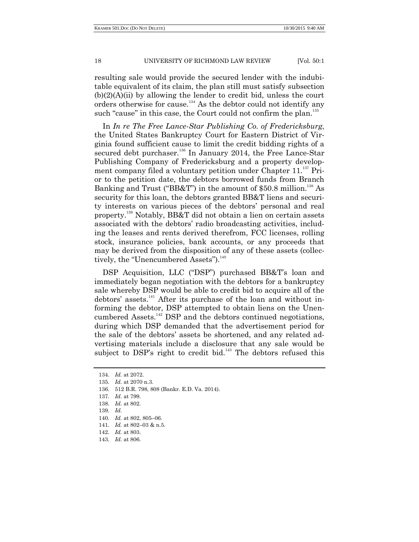resulting sale would provide the secured lender with the indubitable equivalent of its claim, the plan still must satisfy subsection (b)(2)(A)(ii) by allowing the lender to credit bid, unless the court orders otherwise for cause.<sup>134</sup> As the debtor could not identify any such "cause" in this case, the Court could not confirm the plan.<sup>135</sup>

In *In re The Free Lance-Star Publishing Co. of Fredericksburg*, the United States Bankruptcy Court for Eastern District of Virginia found sufficient cause to limit the credit bidding rights of a secured debt purchaser.<sup>136</sup> In January 2014, the Free Lance-Star Publishing Company of Fredericksburg and a property development company filed a voluntary petition under Chapter  $11.^{137}$  Prior to the petition date, the debtors borrowed funds from Branch Banking and Trust ("BB&T") in the amount of \$50.8 million.<sup>138</sup> As security for this loan, the debtors granted BB&T liens and security interests on various pieces of the debtors' personal and real property.<sup>139</sup> Notably, BB&T did not obtain a lien on certain assets associated with the debtors' radio broadcasting activities, including the leases and rents derived therefrom, FCC licenses, rolling stock, insurance policies, bank accounts, or any proceeds that may be derived from the disposition of any of these assets (collectively, the "Unencumbered Assets").<sup>140</sup>

DSP Acquisition, LLC ("DSP") purchased BB&T's loan and immediately began negotiation with the debtors for a bankruptcy sale whereby DSP would be able to credit bid to acquire all of the debtors' assets.<sup>141</sup> After its purchase of the loan and without informing the debtor, DSP attempted to obtain liens on the Unencumbered Assets.<sup>142</sup> DSP and the debtors continued negotiations, during which DSP demanded that the advertisement period for the sale of the debtors' assets be shortened, and any related advertising materials include a disclosure that any sale would be subject to DSP's right to credit bid.<sup>143</sup> The debtors refused this

- 136. 512 B.R. 798, 808 (Bankr. E.D. Va. 2014).
- 137. *Id*. at 799.
- 138. *Id.* at 802.
- 139. *Id.*
- 140. *Id.* at 802, 805–06.
- 141. *Id.* at 802–03 & n.5.

143. *Id.* at 806.

<sup>134.</sup> *Id.* at 2072.

<sup>135.</sup> *Id.* at 2070 n.3.

<sup>142.</sup> *Id.* at 803.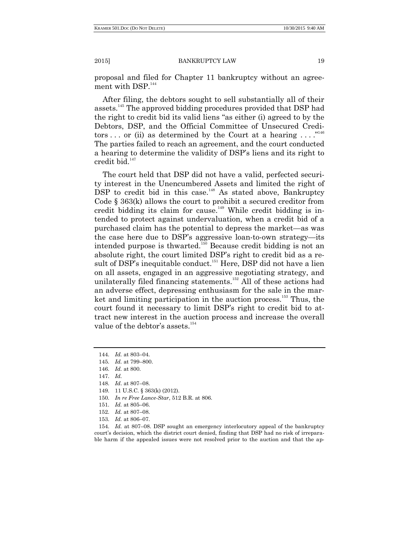proposal and filed for Chapter 11 bankruptcy without an agreement with DSP.<sup>144</sup>

After filing, the debtors sought to sell substantially all of their assets.<sup>145</sup> The approved bidding procedures provided that DSP had the right to credit bid its valid liens "as either (i) agreed to by the Debtors, DSP, and the Official Committee of Unsecured Creditors ... or (ii) as determined by the Court at a hearing  $\ldots$ ."<sup>146</sup> The parties failed to reach an agreement, and the court conducted a hearing to determine the validity of DSP's liens and its right to credit bid.<sup>147</sup>

The court held that DSP did not have a valid, perfected security interest in the Unencumbered Assets and limited the right of  $\overline{DSP}$  to credit bid in this case.<sup>148</sup> As stated above, Bankruptcy Code § 363(k) allows the court to prohibit a secured creditor from credit bidding its claim for cause.<sup>149</sup> While credit bidding is intended to protect against undervaluation, when a credit bid of a purchased claim has the potential to depress the market—as was the case here due to DSP's aggressive loan-to-own strategy—its intended purpose is thwarted.<sup>150</sup> Because credit bidding is not an absolute right, the court limited DSP's right to credit bid as a result of DSP's inequitable conduct.<sup>151</sup> Here, DSP did not have a lien on all assets, engaged in an aggressive negotiating strategy, and unilaterally filed financing statements.<sup>152</sup> All of these actions had an adverse effect, depressing enthusiasm for the sale in the market and limiting participation in the auction process.<sup>153</sup> Thus, the court found it necessary to limit DSP's right to credit bid to attract new interest in the auction process and increase the overall value of the debtor's assets.<sup>154</sup>

146. *Id.* at 800.

- 148. *Id*. at 807–08.
- 149. 11 U.S.C. § 363(k) (2012).
- 150. *In re Free Lance-Star*, 512 B.R. at 806.
- 151. *Id.* at 805–06.
- 152. *Id.* at 807–08.
- 153. *Id.* at 806–07.

154. *Id.* at 807–08. DSP sought an emergency interlocutory appeal of the bankruptcy court's decision, which the district court denied, finding that DSP had no risk of irreparable harm if the appealed issues were not resolved prior to the auction and that the ap-

<sup>144.</sup> *Id.* at 803–04.

<sup>145.</sup> *Id.* at 799–800.

<sup>147.</sup> *Id.*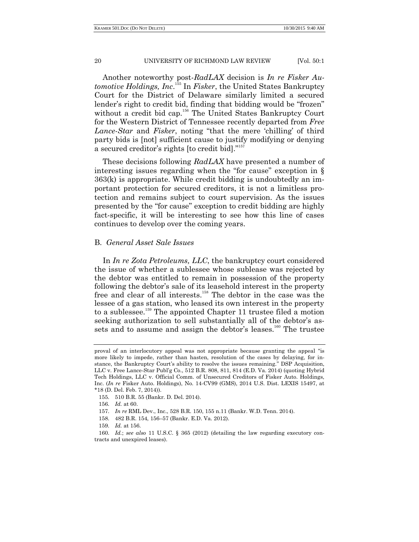Another noteworthy post-*RadLAX* decision is *In re Fisker Automotive Holdings, Inc*. <sup>155</sup> In *Fisker*, the United States Bankruptcy Court for the District of Delaware similarly limited a secured lender's right to credit bid, finding that bidding would be "frozen" without a credit bid cap.<sup>156</sup> The United States Bankruptcy Court for the Western District of Tennessee recently departed from *Free Lance-Star* and *Fisker*, noting "that the mere 'chilling' of third party bids is [not] sufficient cause to justify modifying or denying a secured creditor's rights [to credit bid]."<sup>157</sup>

These decisions following *RadLAX* have presented a number of interesting issues regarding when the "for cause" exception in  $\S$ 363(k) is appropriate. While credit bidding is undoubtedly an important protection for secured creditors, it is not a limitless protection and remains subject to court supervision. As the issues presented by the "for cause" exception to credit bidding are highly fact-specific, it will be interesting to see how this line of cases continues to develop over the coming years.

# B. *General Asset Sale Issues*

In *In re Zota Petroleums, LLC*, the bankruptcy court considered the issue of whether a sublessee whose sublease was rejected by the debtor was entitled to remain in possession of the property following the debtor's sale of its leasehold interest in the property free and clear of all interests.<sup>158</sup> The debtor in the case was the lessee of a gas station, who leased its own interest in the property to a sublessee.<sup>159</sup> The appointed Chapter 11 trustee filed a motion seeking authorization to sell substantially all of the debtor's assets and to assume and assign the debtor's leases.<sup>160</sup> The trustee

155. 510 B.R. 55 (Bankr. D. Del. 2014).

- 157. *In re* RML Dev., Inc., 528 B.R. 150, 155 n.11 (Bankr. W.D. Tenn. 2014).
- 158. 482 B.R. 154, 156–57 (Bankr. E.D. Va. 2012).

proval of an interlocutory appeal was not appropriate because granting the appeal "is more likely to impede, rather than hasten, resolution of the cases by delaying, for instance, the Bankruptcy Court's ability to resolve the issues remaining." DSP Acquisition, LLC v. Free Lance-Star Publ'g Co., 512 B.R. 808, 811, 814 (E.D. Va. 2014) (quoting Hybrid Tech Holdings, LLC v. Official Comm. of Unsecured Creditors of Fisker Auto. Holdings, Inc. (*In re* Fisker Auto. Holdings), No. 14-CV99 (GMS), 2014 U.S. Dist. LEXIS 15497, at \*18 (D. Del. Feb. 7, 2014)).

<sup>156.</sup> *Id.* at 60.

<sup>159.</sup> *Id.* at 156.

<sup>160.</sup> *Id.*; *see also* 11 U.S.C. § 365 (2012) (detailing the law regarding executory contracts and unexpired leases).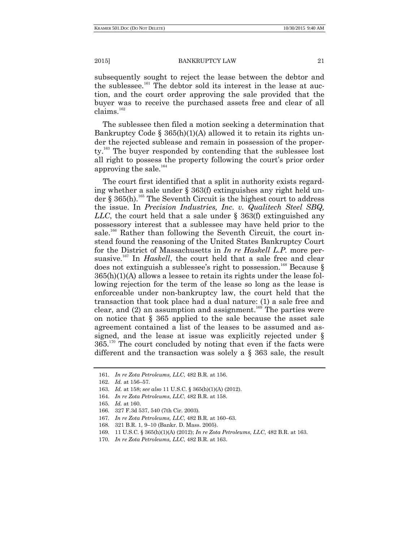subsequently sought to reject the lease between the debtor and the sublessee.<sup>161</sup> The debtor sold its interest in the lease at auction, and the court order approving the sale provided that the buyer was to receive the purchased assets free and clear of all  $clains.<sup>162</sup>$ 

The sublessee then filed a motion seeking a determination that Bankruptcy Code §  $365(h)(1)(A)$  allowed it to retain its rights under the rejected sublease and remain in possession of the property.<sup>163</sup> The buyer responded by contending that the sublessee lost all right to possess the property following the court's prior order approving the sale. $^{164}$ 

The court first identified that a split in authority exists regarding whether a sale under § 363(f) extinguishes any right held under § 365(h).<sup>165</sup> The Seventh Circuit is the highest court to address the issue. In *Precision Industries, Inc. v. Qualitech Steel SBQ, LLC*, the court held that a sale under § 363(f) extinguished any possessory interest that a sublessee may have held prior to the sale.<sup>166</sup> Rather than following the Seventh Circuit, the court instead found the reasoning of the United States Bankruptcy Court for the District of Massachusetts in *In re Haskell L.P.* more persuasive.<sup>167</sup> In *Haskell*, the court held that a sale free and clear does not extinguish a sublessee's right to possession.<sup>168</sup> Because  $\S$ 365(h)(1)(A) allows a lessee to retain its rights under the lease following rejection for the term of the lease so long as the lease is enforceable under non-bankruptcy law, the court held that the transaction that took place had a dual nature: (1) a sale free and clear, and  $(2)$  an assumption and assignment.<sup>169</sup> The parties were on notice that § 365 applied to the sale because the asset sale agreement contained a list of the leases to be assumed and assigned, and the lease at issue was explicitly rejected under §  $365<sup>170</sup>$  The court concluded by noting that even if the facts were different and the transaction was solely a § 363 sale, the result

164. *In re Zota Petroleums, LLC*, 482 B.R. at 158.

<sup>161.</sup> *In re Zota Petroleums, LLC*, 482 B.R. at 156.

<sup>162.</sup> *Id.* at 156–57.

<sup>163.</sup> *Id.* at 158; *see also* 11 U.S.C. § 365(h)(1)(A) (2012).

<sup>165.</sup> *Id.* at 160.

<sup>166.</sup> 327 F.3d 537, 540 (7th Cir. 2003).

<sup>167.</sup> *In re Zota Petroleums, LLC*, 482 B.R. at 160–63.

<sup>168.</sup> 321 B.R. 1, 9–10 (Bankr. D. Mass. 2005).

<sup>169.</sup> 11 U.S.C. § 365(h)(1)(A) (2012); *In re Zota Petroleums, LLC*, 482 B.R. at 163.

<sup>170.</sup> *In re Zota Petroleums, LLC*, 482 B.R. at 163.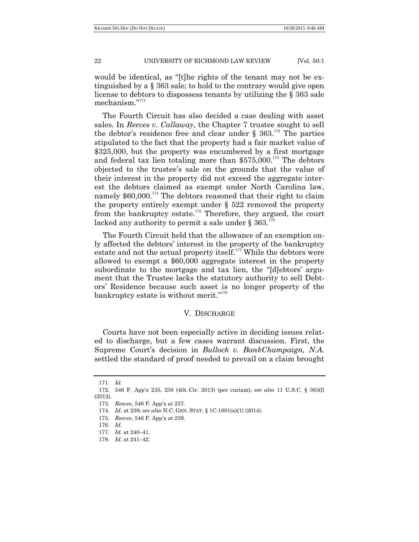would be identical, as "[t]he rights of the tenant may not be extinguished by a § 363 sale; to hold to the contrary would give open license to debtors to dispossess tenants by utilizing the § 363 sale mechanism."171

The Fourth Circuit has also decided a case dealing with asset sales. In *Reeves v. Callaway*, the Chapter 7 trustee sought to sell the debtor's residence free and clear under  $\S 363$ .<sup>172</sup> The parties stipulated to the fact that the property had a fair market value of \$325,000, but the property was encumbered by a first mortgage and federal tax lien totaling more than  $$575,000$ .<sup>173</sup> The debtors objected to the trustee's sale on the grounds that the value of their interest in the property did not exceed the aggregate interest the debtors claimed as exempt under North Carolina law, namely  $$60,000$ <sup>174</sup>. The debtors reasoned that their right to claim the property entirely exempt under  $\S$  522 removed the property from the bankruptcy estate.<sup>175</sup> Therefore, they argued, the court lacked any authority to permit a sale under § 363.<sup>176</sup>

The Fourth Circuit held that the allowance of an exemption only affected the debtors' interest in the property of the bankruptcy estate and not the actual property itself.<sup>177</sup> While the debtors were allowed to exempt a \$60,000 aggregate interest in the property subordinate to the mortgage and tax lien, the "[d]ebtors' argument that the Trustee lacks the statutory authority to sell Debtors' Residence because such asset is no longer property of the bankruptcy estate is without merit." $178$ 

# V. DISCHARGE

Courts have not been especially active in deciding issues related to discharge, but a few cases warrant discussion. First, the Supreme Court's decision in *Bullock v. BankChampaign, N.A.* settled the standard of proof needed to prevail on a claim brought

<sup>171.</sup> *Id.*

<sup>172.</sup> 546 F. App'x 235, 238 (4th Cir. 2013) (per curiam); *see also* 11 U.S.C. § 363(f) (2012).

<sup>173.</sup> *Reeves*, 546 F. App'x at 237.

<sup>174.</sup> *Id.* at 239; *see also* N.C. GEN. STAT. § 1C-1601(a)(1) (2014).

<sup>175.</sup> *Reeves*, 546 F. App'x at 239.

<sup>176.</sup> *Id.* 

<sup>177.</sup> *Id.* at 240–41.

<sup>178.</sup> *Id.* at 241–42.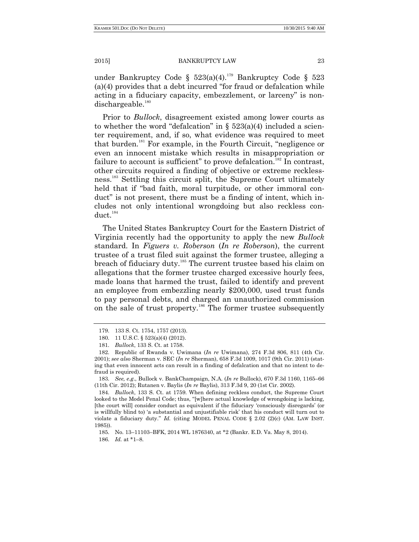under Bankruptcy Code §  $523(a)(4)$ .<sup>179</sup> Bankruptcy Code § 523  $(a)(4)$  provides that a debt incurred "for fraud or defalcation while acting in a fiduciary capacity, embezzlement, or larceny" is nondischargeable.<sup>180</sup>

Prior to *Bullock*, disagreement existed among lower courts as to whether the word "defalcation" in  $\S$  523(a)(4) included a scienter requirement, and, if so, what evidence was required to meet that burden.<sup>181</sup> For example, in the Fourth Circuit, "negligence or even an innocent mistake which results in misappropriation or failure to account is sufficient" to prove defalcation.<sup>182</sup> In contrast, other circuits required a finding of objective or extreme recklessness. <sup>183</sup> Settling this circuit split, the Supreme Court ultimately held that if "bad faith, moral turpitude, or other immoral conduct" is not present, there must be a finding of intent, which includes not only intentional wrongdoing but also reckless conduct.<sup>184</sup>

The United States Bankruptcy Court for the Eastern District of Virginia recently had the opportunity to apply the new *Bullock* standard. In *Figuers v. Roberson* (*In re Roberson*), the current trustee of a trust filed suit against the former trustee, alleging a breach of fiduciary duty.<sup>185</sup> The current trustee based his claim on allegations that the former trustee charged excessive hourly fees, made loans that harmed the trust, failed to identify and prevent an employee from embezzling nearly \$200,000, used trust funds to pay personal debts, and charged an unauthorized commission on the sale of trust property.<sup>186</sup> The former trustee subsequently

<sup>179.</sup> 133 S. Ct. 1754, 1757 (2013).

<sup>180.</sup> 11 U.S.C. § 523(a)(4) (2012).

<sup>181.</sup> *Bullock*, 133 S. Ct. at 1758.

<sup>182.</sup> Republic of Rwanda v. Uwimana (*In re* Uwimana), 274 F.3d 806, 811 (4th Cir. 2001); *see also* Sherman v. SEC (*In re* Sherman), 658 F.3d 1009, 1017 (9th Cir. 2011) (stating that even innocent acts can result in a finding of defalcation and that no intent to defraud is required).

<sup>183.</sup> *See, e.g*., Bullock v. BankChampaign, N.A. (*In re* Bullock), 670 F.3d 1160, 1165–66 (11th Cir. 2012); Rutanen v. Baylis (*In re* Baylis), 313 F.3d 9, 20 (1st Cir. 2002).

<sup>184.</sup> *Bullock*, 133 S. Ct. at 1759. When defining reckless conduct, the Supreme Court looked to the Model Penal Code; thus, "[w]here actual knowledge of wrongdoing is lacking, [the court will] consider conduct as equivalent if the fiduciary ‗consciously disregards' (or is willfully blind to) ‗a substantial and unjustifiable risk' that his conduct will turn out to violate a fiduciary duty.‖ *Id.* (citing MODEL PENAL CODE § 2.02 (2)(c) (AM. LAW INST. 1985)).

<sup>185.</sup> No. 13–11103–BFK, 2014 WL 1876340, at \*2 (Bankr. E.D. Va. May 8, 2014). 186. *Id.* at \*1–8.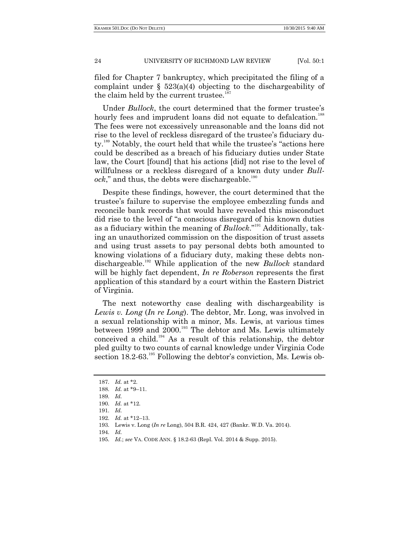filed for Chapter 7 bankruptcy, which precipitated the filing of a complaint under  $\S$  523(a)(4) objecting to the dischargeability of the claim held by the current trustee.<sup>187</sup>

Under *Bullock*, the court determined that the former trustee's hourly fees and imprudent loans did not equate to defalcation.<sup>188</sup> The fees were not excessively unreasonable and the loans did not rise to the level of reckless disregard of the trustee's fiduciary duty.<sup>189</sup> Notably, the court held that while the trustee's "actions here could be described as a breach of his fiduciary duties under State law, the Court [found] that his actions [did] not rise to the level of willfulness or a reckless disregard of a known duty under *Bull* $ock$ ," and thus, the debts were dischargeable.<sup>190</sup>

Despite these findings, however, the court determined that the trustee's failure to supervise the employee embezzling funds and reconcile bank records that would have revealed this misconduct did rise to the level of "a conscious disregard of his known duties as a fiduciary within the meaning of *Bullock*."<sup>191</sup> Additionally, taking an unauthorized commission on the disposition of trust assets and using trust assets to pay personal debts both amounted to knowing violations of a fiduciary duty, making these debts nondischargeable.<sup>192</sup> While application of the new *Bullock* standard will be highly fact dependent, *In re Roberson* represents the first application of this standard by a court within the Eastern District of Virginia.

The next noteworthy case dealing with dischargeability is *Lewis v. Long* (*In re Long*). The debtor, Mr. Long, was involved in a sexual relationship with a minor, Ms. Lewis, at various times between 1999 and  $2000$ .<sup>193</sup> The debtor and Ms. Lewis ultimately conceived a child.<sup>194</sup> As a result of this relationship, the debtor pled guilty to two counts of carnal knowledge under Virginia Code section 18.2-63.<sup>195</sup> Following the debtor's conviction, Ms. Lewis ob-

<sup>187.</sup> *Id.* at \*2.

<sup>188.</sup> *Id.* at \*9–11.

<sup>189.</sup> *Id.*

<sup>190.</sup> *Id.* at \*12.

<sup>191.</sup> *Id.*

<sup>192.</sup> *Id.* at \*12–13.

<sup>193.</sup> Lewis v. Long (*In re* Long), 504 B.R. 424, 427 (Bankr. W.D. Va. 2014).

<sup>194.</sup> *Id.*

<sup>195.</sup> *Id.*; *see* VA. CODE ANN. § 18.2-63 (Repl. Vol. 2014 & Supp. 2015).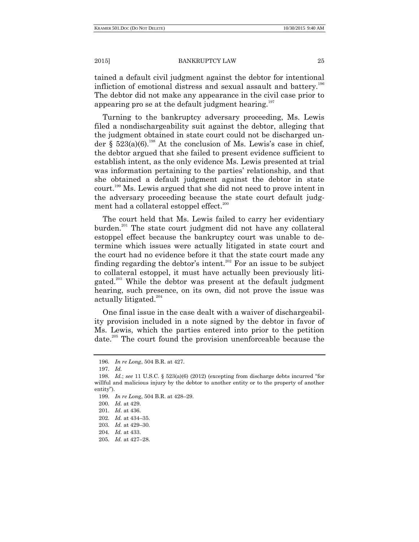tained a default civil judgment against the debtor for intentional infliction of emotional distress and sexual assault and battery.<sup>196</sup> The debtor did not make any appearance in the civil case prior to appearing pro se at the default judgment hearing.<sup>197</sup>

Turning to the bankruptcy adversary proceeding, Ms. Lewis filed a nondischargeability suit against the debtor, alleging that the judgment obtained in state court could not be discharged under §  $523(a)(6)$ .<sup>198</sup> At the conclusion of Ms. Lewis's case in chief, the debtor argued that she failed to present evidence sufficient to establish intent, as the only evidence Ms. Lewis presented at trial was information pertaining to the parties' relationship, and that she obtained a default judgment against the debtor in state court.<sup>199</sup> Ms. Lewis argued that she did not need to prove intent in the adversary proceeding because the state court default judgment had a collateral estoppel effect.<sup>200</sup>

The court held that Ms. Lewis failed to carry her evidentiary burden.<sup>201</sup> The state court judgment did not have any collateral estoppel effect because the bankruptcy court was unable to determine which issues were actually litigated in state court and the court had no evidence before it that the state court made any finding regarding the debtor's intent.<sup>202</sup> For an issue to be subject to collateral estoppel, it must have actually been previously litigated.<sup>203</sup> While the debtor was present at the default judgment hearing, such presence, on its own, did not prove the issue was actually litigated.<sup>204</sup>

One final issue in the case dealt with a waiver of dischargeability provision included in a note signed by the debtor in favor of Ms. Lewis, which the parties entered into prior to the petition date.<sup>205</sup> The court found the provision unenforceable because the

<sup>196.</sup> *In re Long*, 504 B.R. at 427.

<sup>197.</sup> *Id.*

<sup>198.</sup> *Id.*; *see* 11 U.S.C. § 523(a)(6) (2012) (excepting from discharge debts incurred "for willful and malicious injury by the debtor to another entity or to the property of another entity").

<sup>199.</sup> *In re Lon*g, 504 B.R. at 428–29.

<sup>200.</sup> *Id.* at 429.

<sup>201.</sup> *Id*. at 436.

<sup>202.</sup> *Id.* at 434–35.

<sup>203.</sup> *Id.* at 429–30.

<sup>204.</sup> *Id.* at 433.

<sup>205.</sup> *Id.* at 427–28.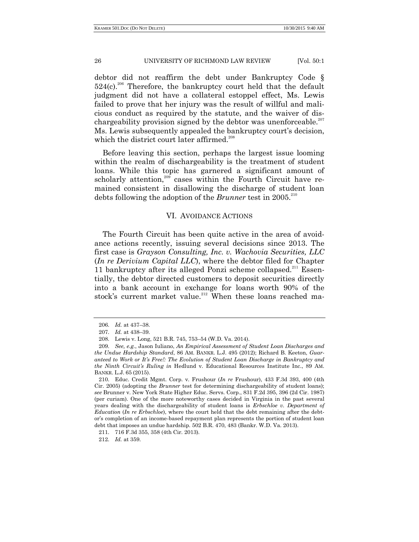debtor did not reaffirm the debt under Bankruptcy Code §  $524(c)$ <sup>206</sup> Therefore, the bankruptcy court held that the default judgment did not have a collateral estoppel effect, Ms. Lewis failed to prove that her injury was the result of willful and malicious conduct as required by the statute, and the waiver of dischargeability provision signed by the debtor was unenforceable.<sup>207</sup> Ms. Lewis subsequently appealed the bankruptcy court's decision, which the district court later affirmed. 208

Before leaving this section, perhaps the largest issue looming within the realm of dischargeability is the treatment of student loans. While this topic has garnered a significant amount of scholarly attention,<sup>209</sup> cases within the Fourth Circuit have remained consistent in disallowing the discharge of student loan debts following the adoption of the *Brunner* test in 2005.<sup>210</sup>

# VI. AVOIDANCE ACTIONS

The Fourth Circuit has been quite active in the area of avoidance actions recently, issuing several decisions since 2013. The first case is *Grayson Consulting, Inc. v. Wachovia Securities, LLC*  (*In re Derivium Capital LLC*), where the debtor filed for Chapter 11 bankruptcy after its alleged Ponzi scheme collapsed.<sup>211</sup> Essentially, the debtor directed customers to deposit securities directly into a bank account in exchange for loans worth 90% of the stock's current market value.<sup>212</sup> When these loans reached ma-

<sup>206.</sup> *Id.* at 437–38.

<sup>207.</sup> *Id.* at 438–39.

<sup>208.</sup> Lewis v. Long, 521 B.R. 745, 753–54 (W.D. Va. 2014).

<sup>209.</sup> *See, e.g.*, Jason Iuliano, *An Empirical Assessment of Student Loan Discharges and the Undue Hardship Standard*, 86 AM. BANKR. L.J. 495 (2012); Richard B. Keeton, *Guaranteed to Work or It's Free!: The Evolution of Student Loan Discharge in Bankruptcy and the Ninth Circuit's Ruling in* Hedlund v. Educational Resources Institute Inc., 89 AM. BANKR. L.J. 65 (2015).

<sup>210.</sup> Educ. Credit Mgmt. Corp. v. Frushour (*In re* Frushour), 433 F.3d 393, 400 (4th Cir. 2005) (adopting the *Brunner* test for determining dischargeability of student loans); *see* Brunner v. New York State Higher Educ. Servs. Corp., 831 F.2d 395, 396 (2d Cir. 1987) (per curiam). One of the more noteworthy cases decided in Virginia in the past several years dealing with the dischargeability of student loans is *Erbschloe v. Department of Education* (*In re Erbschloe*), where the court held that the debt remaining after the debtor's completion of an income-based repayment plan represents the portion of student loan debt that imposes an undue hardship. 502 B.R. 470, 483 (Bankr. W.D. Va. 2013).

<sup>211.</sup> 716 F.3d 355, 358 (4th Cir. 2013).

<sup>212.</sup> *Id.* at 359.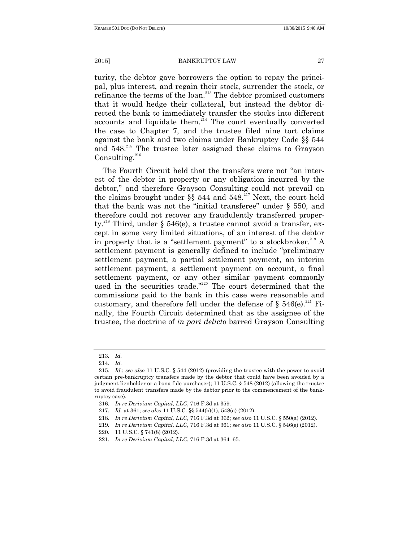turity, the debtor gave borrowers the option to repay the principal, plus interest, and regain their stock, surrender the stock, or refinance the terms of the loan.<sup>213</sup> The debtor promised customers that it would hedge their collateral, but instead the debtor directed the bank to immediately transfer the stocks into different accounts and liquidate them. $214$  The court eventually converted the case to Chapter 7, and the trustee filed nine tort claims against the bank and two claims under Bankruptcy Code §§ 544 and 548.<sup>215</sup> The trustee later assigned these claims to Grayson Consulting. $216$ 

The Fourth Circuit held that the transfers were not "an interest of the debtor in property or any obligation incurred by the debtor," and therefore Grayson Consulting could not prevail on the claims brought under §§ 544 and 548.<sup>217</sup> Next, the court held that the bank was not the "initial transferee" under  $\S$  550, and therefore could not recover any fraudulently transferred property.<sup>218</sup> Third, under § 546(e), a trustee cannot avoid a transfer, except in some very limited situations, of an interest of the debtor in property that is a "settlement payment" to a stockbroker.<sup>219</sup> A settlement payment is generally defined to include "preliminary settlement payment, a partial settlement payment, an interim settlement payment, a settlement payment on account, a final settlement payment, or any other similar payment commonly used in the securities trade."<sup>220</sup> The court determined that the commissions paid to the bank in this case were reasonable and customary, and therefore fell under the defense of  $\S 546(e)^{221}$  Finally, the Fourth Circuit determined that as the assignee of the trustee, the doctrine of *in pari delicto* barred Grayson Consulting

<sup>213.</sup> *Id.*

<sup>214.</sup> *Id.*

<sup>215.</sup> *Id.*; *see also* 11 U.S.C. § 544 (2012) (providing the trustee with the power to avoid certain pre-bankruptcy transfers made by the debtor that could have been avoided by a judgment lienholder or a bona fide purchaser); 11 U.S.C. § 548 (2012) (allowing the trustee to avoid fraudulent transfers made by the debtor prior to the commencement of the bankruptcy case).

<sup>216.</sup> *In re Derivium Capital, LLC*, 716 F.3d at 359.

<sup>217.</sup> *Id.* at 361; *see also* 11 U.S.C. §§ 544(b)(1), 548(a) (2012).

<sup>218.</sup> *In re Derivium Capital, LLC*, 716 F.3d at 362; *see also* 11 U.S.C. § 550(a) (2012).

<sup>219.</sup> *In re Derivium Capital, LLC*, 716 F.3d at 361; *see also* 11 U.S.C. § 546(e) (2012).

<sup>220.</sup> 11 U.S.C. § 741(8) (2012).

<sup>221.</sup> *In re Derivium Capital, LLC*, 716 F.3d at 364–65.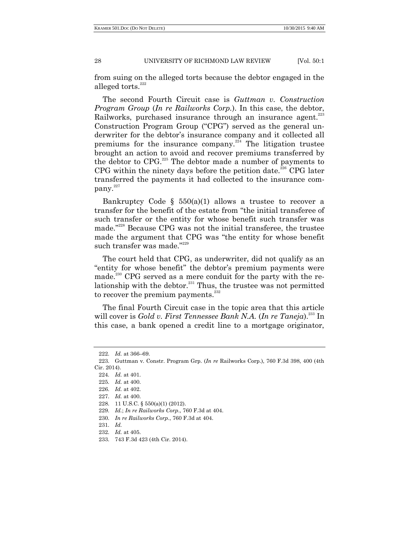from suing on the alleged torts because the debtor engaged in the alleged torts. $222$ 

The second Fourth Circuit case is *Guttman v. Construction Program Group* (*In re Railworks Corp.*). In this case, the debtor, Railworks, purchased insurance through an insurance agent.<sup>223</sup> Construction Program Group ("CPG") served as the general underwriter for the debtor's insurance company and it collected all premiums for the insurance company.<sup>224</sup> The litigation trustee brought an action to avoid and recover premiums transferred by the debtor to CPG.<sup>225</sup> The debtor made a number of payments to CPG within the ninety days before the petition date.<sup>226</sup> CPG later transferred the payments it had collected to the insurance com- $\mathsf{pany.}^{227}$ 

Bankruptcy Code §  $550(a)(1)$  allows a trustee to recover a transfer for the benefit of the estate from "the initial transferee of such transfer or the entity for whose benefit such transfer was made."<sup>228</sup> Because CPG was not the initial transferee, the trustee made the argument that CPG was "the entity for whose benefit such transfer was made."229

The court held that CPG, as underwriter, did not qualify as an "entity for whose benefit" the debtor's premium payments were made.<sup>230</sup> CPG served as a mere conduit for the party with the relationship with the debtor. $231$  Thus, the trustee was not permitted to recover the premium payments. $^{232}$ 

The final Fourth Circuit case in the topic area that this article will cover is *Gold v. First Tennessee Bank N.A.* (*In re Taneja*). <sup>233</sup> In this case, a bank opened a credit line to a mortgage originator,

<sup>222.</sup> *Id.* at 366–69.

<sup>223.</sup> Guttman v. Constr. Program Grp. (*In re* Railworks Corp.), 760 F.3d 398, 400 (4th Cir. 2014).

<sup>224.</sup> *Id.* at 401.

<sup>225.</sup> *Id.* at 400.

<sup>226.</sup> *Id.* at 402.

<sup>227.</sup> *Id.* at 400.

<sup>228.</sup> 11 U.S.C. § 550(a)(1) (2012).

<sup>229.</sup> *Id.*; *In re Railworks Corp*., 760 F.3d at 404.

<sup>230.</sup> *In re Railworks Corp*., 760 F.3d at 404.

<sup>231.</sup> *Id.*

<sup>232.</sup> *Id.* at 405.

<sup>233.</sup> 743 F.3d 423 (4th Cir. 2014).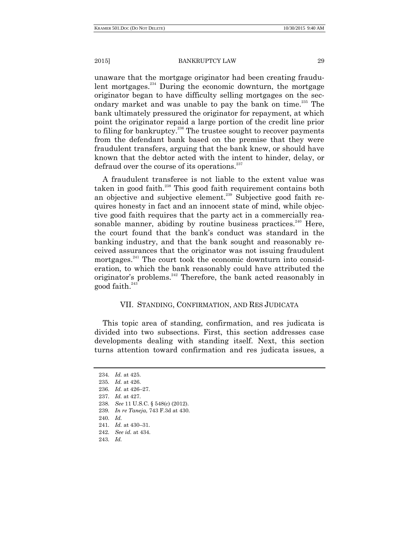unaware that the mortgage originator had been creating fraudulent mortgages.<sup>234</sup> During the economic downturn, the mortgage originator began to have difficulty selling mortgages on the secondary market and was unable to pay the bank on time.<sup>235</sup> The bank ultimately pressured the originator for repayment, at which point the originator repaid a large portion of the credit line prior to filing for bankruptcy.<sup>236</sup> The trustee sought to recover payments from the defendant bank based on the premise that they were fraudulent transfers, arguing that the bank knew, or should have known that the debtor acted with the intent to hinder, delay, or defraud over the course of its operations.<sup>237</sup>

A fraudulent transferee is not liable to the extent value was taken in good faith.<sup>238</sup> This good faith requirement contains both an objective and subjective element.<sup>239</sup> Subjective good faith requires honesty in fact and an innocent state of mind, while objective good faith requires that the party act in a commercially reasonable manner, abiding by routine business practices.<sup>240</sup> Here, the court found that the bank's conduct was standard in the banking industry, and that the bank sought and reasonably received assurances that the originator was not issuing fraudulent mortgages.<sup>241</sup> The court took the economic downturn into consideration, to which the bank reasonably could have attributed the originator's problems.<sup>242</sup> Therefore, the bank acted reasonably in good faith. $^{243}$ 

# VII. STANDING, CONFIRMATION, AND RES JUDICATA

This topic area of standing, confirmation, and res judicata is divided into two subsections. First, this section addresses case developments dealing with standing itself. Next, this section turns attention toward confirmation and res judicata issues, a

<sup>234.</sup> *Id.* at 425.

<sup>235.</sup> *Id.* at 426.

<sup>236.</sup> *Id.* at 426–27.

<sup>237.</sup> *Id.* at 427.

<sup>238.</sup> *See* 11 U.S.C. § 548(c) (2012).

<sup>239.</sup> *In re Taneja*, 743 F.3d at 430.

<sup>240.</sup> *Id.*

<sup>241.</sup> *Id.* at 430–31.

<sup>242.</sup> *See id.* at 434.

<sup>243.</sup> *Id.*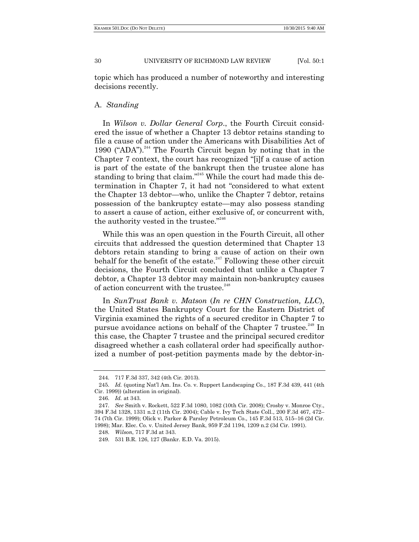topic which has produced a number of noteworthy and interesting decisions recently.

# A. *Standing*

In *Wilson v. Dollar General Corp*., the Fourth Circuit considered the issue of whether a Chapter 13 debtor retains standing to file a cause of action under the Americans with Disabilities Act of 1990 ("ADA").<sup>244</sup> The Fourth Circuit began by noting that in the Chapter 7 context, the court has recognized "[i]f a cause of action is part of the estate of the bankrupt then the trustee alone has standing to bring that claim."<sup>245</sup> While the court had made this determination in Chapter 7, it had not "considered to what extent the Chapter 13 debtor—who, unlike the Chapter 7 debtor, retains possession of the bankruptcy estate—may also possess standing to assert a cause of action, either exclusive of, or concurrent with, the authority vested in the trustee." 246

While this was an open question in the Fourth Circuit, all other circuits that addressed the question determined that Chapter 13 debtors retain standing to bring a cause of action on their own behalf for the benefit of the estate.<sup>247</sup> Following these other circuit decisions, the Fourth Circuit concluded that unlike a Chapter 7 debtor, a Chapter 13 debtor may maintain non-bankruptcy causes of action concurrent with the trustee. $248$ 

In *SunTrust Bank v. Matson* (*In re CHN Construction, LLC*), the United States Bankruptcy Court for the Eastern District of Virginia examined the rights of a secured creditor in Chapter 7 to pursue avoidance actions on behalf of the Chapter 7 trustee.<sup>249</sup> In this case, the Chapter 7 trustee and the principal secured creditor disagreed whether a cash collateral order had specifically authorized a number of post-petition payments made by the debtor-in-

<sup>244.</sup> 717 F.3d 337, 342 (4th Cir. 2013).

<sup>245.</sup> *Id.* (quoting Nat'l Am. Ins. Co. v. Ruppert Landscaping Co., 187 F.3d 439, 441 (4th Cir. 1999)) (alteration in original).

<sup>246.</sup> *Id.* at 343.

<sup>247.</sup> *See* Smith v. Rockett, 522 F.3d 1080, 1082 (10th Cir. 2008); Crosby v. Monroe Cty., 394 F.3d 1328, 1331 n.2 (11th Cir. 2004); Cable v. Ivy Tech State Coll., 200 F.3d 467, 472– 74 (7th Cir. 1999); Olick v. Parker & Parsley Petroleum Co., 145 F.3d 513, 515–16 (2d Cir. 1998); Mar. Elec. Co. v. United Jersey Bank, 959 F.2d 1194, 1209 n.2 (3d Cir. 1991).

<sup>248.</sup> *Wilson*, 717 F.3d at 343.

<sup>249.</sup> 531 B.R. 126, 127 (Bankr. E.D. Va. 2015).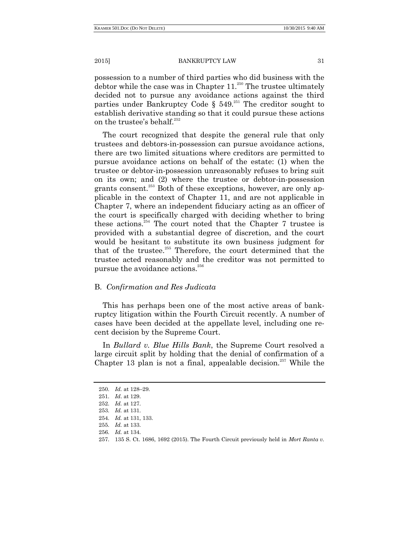possession to a number of third parties who did business with the debtor while the case was in Chapter  $11.^{250}$  The trustee ultimately decided not to pursue any avoidance actions against the third parties under Bankruptcy Code §  $549.^{251}$  The creditor sought to establish derivative standing so that it could pursue these actions on the trustee's behalf.<sup>252</sup>

The court recognized that despite the general rule that only trustees and debtors-in-possession can pursue avoidance actions, there are two limited situations where creditors are permitted to pursue avoidance actions on behalf of the estate: (1) when the trustee or debtor-in-possession unreasonably refuses to bring suit on its own; and (2) where the trustee or debtor-in-possession grants consent.<sup>253</sup> Both of these exceptions, however, are only applicable in the context of Chapter 11, and are not applicable in Chapter 7, where an independent fiduciary acting as an officer of the court is specifically charged with deciding whether to bring these actions.<sup>254</sup> The court noted that the Chapter 7 trustee is provided with a substantial degree of discretion, and the court would be hesitant to substitute its own business judgment for that of the trustee.<sup>255</sup> Therefore, the court determined that the trustee acted reasonably and the creditor was not permitted to pursue the avoidance actions. $256$ 

# B. *Confirmation and Res Judicata*

This has perhaps been one of the most active areas of bankruptcy litigation within the Fourth Circuit recently. A number of cases have been decided at the appellate level, including one recent decision by the Supreme Court.

In *Bullard v. Blue Hills Bank*, the Supreme Court resolved a large circuit split by holding that the denial of confirmation of a Chapter 13 plan is not a final, appealable decision.<sup>257</sup> While the

<sup>250.</sup> *Id.* at 128–29.

<sup>251.</sup> *Id*. at 129.

<sup>252.</sup> *Id.* at 127.

<sup>253.</sup> *Id.* at 131.

<sup>254.</sup> *Id.* at 131, 133.

<sup>255.</sup> *Id.* at 133.

<sup>256.</sup> *Id.* at 134.

<sup>257.</sup> 135 S. Ct. 1686, 1692 (2015). The Fourth Circuit previously held in *Mort Ranta v.*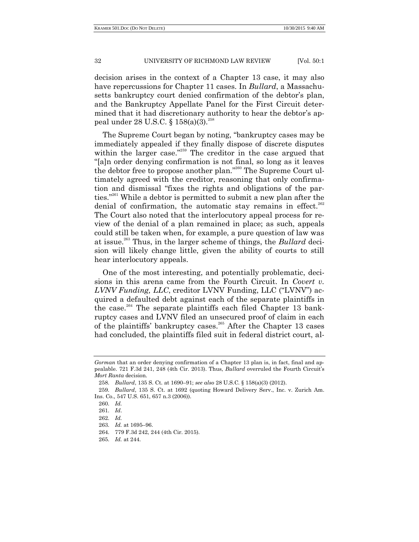decision arises in the context of a Chapter 13 case, it may also have repercussions for Chapter 11 cases. In *Bullard*, a Massachusetts bankruptcy court denied confirmation of the debtor's plan, and the Bankruptcy Appellate Panel for the First Circuit determined that it had discretionary authority to hear the debtor's appeal under 28 U.S.C. §  $158(a)(3).^{258}$ 

The Supreme Court began by noting, "bankruptcy cases may be immediately appealed if they finally dispose of discrete disputes within the larger case.<sup> $259$ </sup> The creditor in the case argued that ―[a]n order denying confirmation is not final, so long as it leaves the debtor free to propose another plan."<sup>260</sup> The Supreme Court ultimately agreed with the creditor, reasoning that only confirmation and dismissal "fixes the rights and obligations of the parties."<sup>261</sup> While a debtor is permitted to submit a new plan after the denial of confirmation, the automatic stay remains in effect. $262$ The Court also noted that the interlocutory appeal process for review of the denial of a plan remained in place; as such, appeals could still be taken when, for example, a pure question of law was at issue.<sup>263</sup> Thus, in the larger scheme of things, the *Bullard* decision will likely change little, given the ability of courts to still hear interlocutory appeals.

One of the most interesting, and potentially problematic, decisions in this arena came from the Fourth Circuit. In *Covert v. LVNV Funding, LLC, creditor LVNV Funding, LLC ("LVNV")* acquired a defaulted debt against each of the separate plaintiffs in the case.<sup>264</sup> The separate plaintiffs each filed Chapter 13 bankruptcy cases and LVNV filed an unsecured proof of claim in each of the plaintiffs' bankruptcy cases.<sup>265</sup> After the Chapter 13 cases had concluded, the plaintiffs filed suit in federal district court, al-

*Gorman* that an order denying confirmation of a Chapter 13 plan is, in fact, final and appealable. 721 F.3d 241, 248 (4th Cir. 2013). Thus, *Bullard* overruled the Fourth Circuit's *Mort Ranta* decision.

<sup>258.</sup> *Bullard*, 135 S. Ct. at 1690–91; *see also* 28 U.S.C. § 158(a)(3) (2012).

<sup>259.</sup> *Bullard*, 135 S. Ct. at 1692 (quoting Howard Delivery Serv., Inc. v. Zurich Am. Ins. Co., 547 U.S. 651, 657 n.3 (2006)).

<sup>260.</sup> *Id.*

<sup>261.</sup> *Id*.

<sup>262.</sup> *Id.*

<sup>263.</sup> *Id.* at 1695–96.

<sup>264.</sup> 779 F.3d 242, 244 (4th Cir. 2015).

<sup>265.</sup> *Id.* at 244.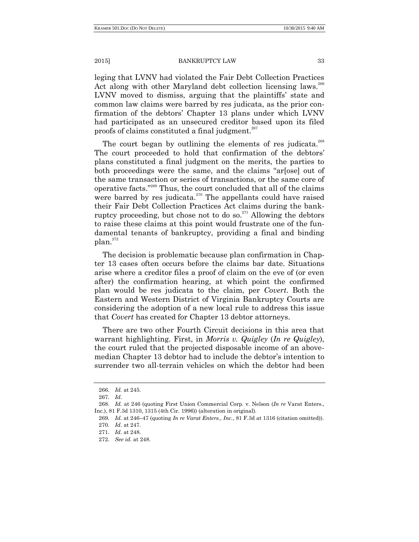leging that LVNV had violated the Fair Debt Collection Practices Act along with other Maryland debt collection licensing laws.<sup>266</sup> LVNV moved to dismiss, arguing that the plaintiffs' state and common law claims were barred by res judicata, as the prior confirmation of the debtors' Chapter 13 plans under which LVNV had participated as an unsecured creditor based upon its filed proofs of claims constituted a final judgment.<sup>267</sup>

The court began by outlining the elements of res judicata.<sup>268</sup> The court proceeded to hold that confirmation of the debtors' plans constituted a final judgment on the merits, the parties to both proceedings were the same, and the claims "arsosel out of the same transaction or series of transactions, or the same core of operative facts."<sup>269</sup> Thus, the court concluded that all of the claims were barred by res judicata.<sup>270</sup> The appellants could have raised their Fair Debt Collection Practices Act claims during the bankruptcy proceeding, but chose not to do so.<sup>271</sup> Allowing the debtors to raise these claims at this point would frustrate one of the fundamental tenants of bankruptcy, providing a final and binding  $plan.<sup>272</sup>$ 

The decision is problematic because plan confirmation in Chapter 13 cases often occurs before the claims bar date. Situations arise where a creditor files a proof of claim on the eve of (or even after) the confirmation hearing, at which point the confirmed plan would be res judicata to the claim, per *Covert*. Both the Eastern and Western District of Virginia Bankruptcy Courts are considering the adoption of a new local rule to address this issue that *Covert* has created for Chapter 13 debtor attorneys.

There are two other Fourth Circuit decisions in this area that warrant highlighting. First, in *Morris v. Quigley* (*In re Quigley*), the court ruled that the projected disposable income of an abovemedian Chapter 13 debtor had to include the debtor's intention to surrender two all-terrain vehicles on which the debtor had been

<sup>266.</sup> *Id.* at 245.

<sup>267.</sup> *Id*.

<sup>268.</sup> *Id.* at 246 (quoting First Union Commercial Corp. v. Nelson (*In re* Varat Enters., Inc.), 81 F.3d 1310, 1315 (4th Cir. 1996)) (alteration in original).

<sup>269.</sup> *Id.* at 246–47 (quoting *In re Varat Enters., Inc.*, 81 F.3d at 1316 (citation omitted)).

<sup>270.</sup> *Id*. at 247.

<sup>271.</sup> *Id*. at 248.

<sup>272.</sup> *See id.* at 248.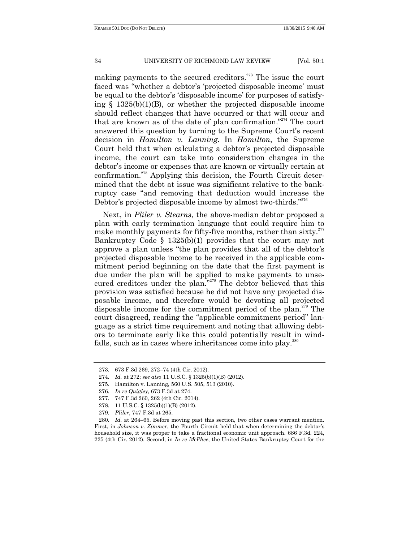making payments to the secured creditors.<sup> $273$ </sup> The issue the court faced was "whether a debtor's 'projected disposable income' must be equal to the debtor's 'disposable income' for purposes of satisfying § 1325(b)(1)(B), or whether the projected disposable income should reflect changes that have occurred or that will occur and that are known as of the date of plan confirmation."<sup>274</sup> The court answered this question by turning to the Supreme Court's recent decision in *Hamilton v. Lanning*. In *Hamilton*, the Supreme Court held that when calculating a debtor's projected disposable income, the court can take into consideration changes in the debtor's income or expenses that are known or virtually certain at confirmation.<sup>275</sup> Applying this decision, the Fourth Circuit determined that the debt at issue was significant relative to the bankruptcy case "and removing that deduction would increase the Debtor's projected disposable income by almost two-thirds." $276$ 

Next, in *Pliler v. Stearns*, the above-median debtor proposed a plan with early termination language that could require him to make monthly payments for fifty-five months, rather than sixty. $277$ Bankruptcy Code § 1325(b)(1) provides that the court may not approve a plan unless "the plan provides that all of the debtor's projected disposable income to be received in the applicable commitment period beginning on the date that the first payment is due under the plan will be applied to make payments to unsecured creditors under the plan."<sup>278</sup> The debtor believed that this provision was satisfied because he did not have any projected disposable income, and therefore would be devoting all projected disposable income for the commitment period of the plan.<sup> $279$ </sup> The court disagreed, reading the "applicable commitment period" language as a strict time requirement and noting that allowing debtors to terminate early like this could potentially result in windfalls, such as in cases where inheritances come into play.<sup>280</sup>

279. *Pliler*, 747 F.3d at 265.

<sup>273.</sup> 673 F.3d 269, 272–74 (4th Cir. 2012).

<sup>274.</sup> *Id.* at 272; *see also* 11 U.S.C. § 1325(b)(1)(B) (2012).

<sup>275.</sup> Hamilton v. Lanning, 560 U.S. 505, 513 (2010).

<sup>276.</sup> *In re Quigley*, 673 F.3d at 274.

<sup>277.</sup> 747 F.3d 260, 262 (4th Cir. 2014).

<sup>278.</sup> 11 U.S.C. § 1325(b)(1)(B) (2012).

<sup>280.</sup> *Id.* at 264–65. Before moving past this section, two other cases warrant mention. First, in *Johnson v. Zimmer*, the Fourth Circuit held that when determining the debtor's household size, it was proper to take a fractional economic unit approach. 686 F.3d. 224, 225 (4th Cir. 2012). Second, in *In re McPhee*, the United States Bankruptcy Court for the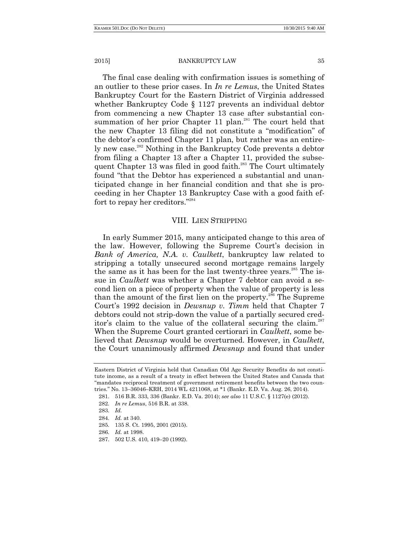The final case dealing with confirmation issues is something of an outlier to these prior cases. In *In re Lemus*, the United States Bankruptcy Court for the Eastern District of Virginia addressed whether Bankruptcy Code § 1127 prevents an individual debtor from commencing a new Chapter 13 case after substantial consummation of her prior Chapter 11 plan.<sup>281</sup> The court held that the new Chapter 13 filing did not constitute a "modification" of the debtor's confirmed Chapter 11 plan, but rather was an entirely new case.<sup>282</sup> Nothing in the Bankruptcy Code prevents a debtor from filing a Chapter 13 after a Chapter 11, provided the subsequent Chapter  $13$  was filed in good faith.<sup>283</sup> The Court ultimately found "that the Debtor has experienced a substantial and unanticipated change in her financial condition and that she is proceeding in her Chapter 13 Bankruptcy Case with a good faith effort to repay her creditors." $284$ 

# VIII. LIEN STRIPPING

In early Summer 2015, many anticipated change to this area of the law. However, following the Supreme Court's decision in *Bank of America, N.A. v. Caulkett*, bankruptcy law related to stripping a totally unsecured second mortgage remains largely the same as it has been for the last twenty-three years.<sup>285</sup> The issue in *Caulkett* was whether a Chapter 7 debtor can avoid a second lien on a piece of property when the value of property is less than the amount of the first lien on the property.<sup>286</sup> The Supreme Court's 1992 decision in *Dewsnup v. Timm* held that Chapter 7 debtors could not strip-down the value of a partially secured creditor's claim to the value of the collateral securing the claim.<sup>287</sup> When the Supreme Court granted certiorari in *Caulkett*, some believed that *Dewsnup* would be overturned. However, in *Caulkett*, the Court unanimously affirmed *Dewsnup* and found that under

Eastern District of Virginia held that Canadian Old Age Security Benefits do not constitute income, as a result of a treaty in effect between the United States and Canada that ―mandates reciprocal treatment of government retirement benefits between the two countries.‖ No. 13–36046–KRH, 2014 WL 4211068, at \*1 (Bankr. E.D. Va. Aug. 26, 2014).

<sup>281.</sup> 516 B.R. 333, 336 (Bankr. E.D. Va. 2014); *see also* 11 U.S.C. § 1127(e) (2012).

<sup>282.</sup> *In re Lemus*, 516 B.R. at 338.

<sup>283.</sup> *Id.*

<sup>284.</sup> *Id.* at 340.

<sup>285.</sup> 135 S. Ct. 1995, 2001 (2015).

<sup>286.</sup> *Id.* at 1998.

<sup>287.</sup> 502 U.S. 410, 419–20 (1992).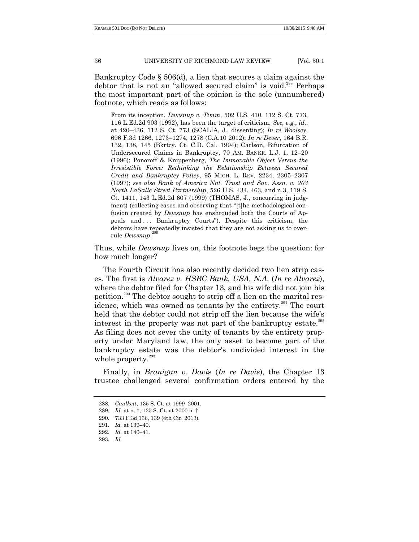Bankruptcy Code § 506(d), a lien that secures a claim against the debtor that is not an "allowed secured claim" is void.<sup>288</sup> Perhaps the most important part of the opinion is the sole (unnumbered) footnote, which reads as follows:

From its inception, *Dewsnup v. Timm*, 502 U.S. 410, 112 S. Ct. 773, 116 L.Ed.2d 903 (1992), has been the target of criticism. *See, e.g.*, *id.*, at 420–436, 112 S. Ct. 773 (SCALIA, J., dissenting); *In re Woolsey*, 696 F.3d 1266, 1273–1274, 1278 (C.A.10 2012); *In re Dever*, 164 B.R. 132, 138, 145 (Bkrtcy. Ct. C.D. Cal. 1994); Carlson, Bifurcation of Undersecured Claims in Bankruptcy, 70 AM. BANKR. L.J. 1, 12–20 (1996); Ponoroff & Knippenberg, *The Immovable Object Versus the Irresistible Force: Rethinking the Relationship Between Secured Credit and Bankruptcy Policy*, 95 MICH. L. REV. 2234, 2305–2307 (1997); *see also Bank of America Nat. Trust and Sav. Assn. v. 203 North LaSalle Street Partnership*, 526 U.S. 434, 463, and n.3, 119 S. Ct. 1411, 143 L.Ed.2d 607 (1999) (THOMAS, J., concurring in judgment) (collecting cases and observing that "[t]he methodological confusion created by *Dewsnup* has enshrouded both the Courts of Appeals and ... Bankruptcy Courts"). Despite this criticism, the debtors have repeatedly insisted that they are not asking us to over-289 rule *Dewsnup*.

Thus, while *Dewsnup* lives on, this footnote begs the question: for how much longer?

The Fourth Circuit has also recently decided two lien strip cases. The first is *Alvarez v. HSBC Bank, USA, N.A.* (*In re Alvarez*), where the debtor filed for Chapter 13, and his wife did not join his petition.<sup>290</sup> The debtor sought to strip off a lien on the marital residence, which was owned as tenants by the entirety. $291$  The court held that the debtor could not strip off the lien because the wife's interest in the property was not part of the bankruptcy estate. $292$ As filing does not sever the unity of tenants by the entirety property under Maryland law, the only asset to become part of the bankruptcy estate was the debtor's undivided interest in the whole property. $293$ 

Finally, in *Branigan v. Davi*s (*In re Davis*), the Chapter 13 trustee challenged several confirmation orders entered by the

<sup>288.</sup> *Caulkett*, 135 S. Ct. at 1999–2001.

<sup>289.</sup> *Id.* at n. †, 135 S. Ct. at 2000 n. †.

<sup>290.</sup> 733 F.3d 136, 139 (4th Cir. 2013).

<sup>291.</sup> *Id.* at 139–40.

<sup>292.</sup> *Id.* at 140–41.

<sup>293.</sup> *Id.*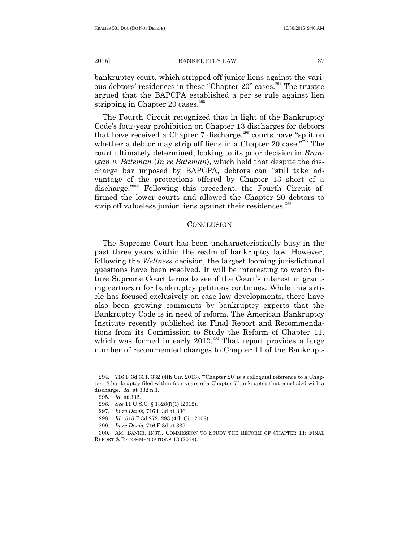bankruptcy court, which stripped off junior liens against the various debtors' residences in these "Chapter 20" cases.<sup>294</sup> The trustee argued that the BAPCPA established a per se rule against lien stripping in Chapter 20 cases.<sup>295</sup>

The Fourth Circuit recognized that in light of the Bankruptcy Code's four-year prohibition on Chapter 13 discharges for debtors that have received a Chapter 7 discharge,<sup>296</sup> courts have "split on whether a debtor may strip off liens in a Chapter 20 case."<sup>297</sup> The court ultimately determined, looking to its prior decision in *Branigan v. Bateman* (*In re Bateman*), which held that despite the discharge bar imposed by BAPCPA, debtors can "still take advantage of the protections offered by Chapter 13 short of a discharge."<sup>298</sup> Following this precedent, the Fourth Circuit affirmed the lower courts and allowed the Chapter 20 debtors to strip off valueless junior liens against their residences.<sup>299</sup>

# **CONCLUSION**

The Supreme Court has been uncharacteristically busy in the past three years within the realm of bankruptcy law. However, following the *Wellness* decision, the largest looming jurisdictional questions have been resolved. It will be interesting to watch future Supreme Court terms to see if the Court's interest in granting certiorari for bankruptcy petitions continues. While this article has focused exclusively on case law developments, there have also been growing comments by bankruptcy experts that the Bankruptcy Code is in need of reform. The American Bankruptcy Institute recently published its Final Report and Recommendations from its Commission to Study the Reform of Chapter 11, which was formed in early  $2012$ <sup>300</sup> That report provides a large number of recommended changes to Chapter 11 of the Bankrupt-

<sup>294. 716</sup> F.3d 331, 332 (4th Cir. 2013). "'Chapter 20' is a colloquial reference to a Chapter 13 bankruptcy filed within four years of a Chapter 7 bankruptcy that concluded with a discharge." *Id.* at 332 n.1.

<sup>295.</sup> *Id.* at 332.

<sup>296.</sup> *See* 11 U.S.C. § 1328(f)(1) (2012).

<sup>297.</sup> *In re Davis*, 716 F.3d at 336.

<sup>298.</sup> *Id*.; 515 F.3d 272, 283 (4th Cir. 2008).

<sup>299.</sup> *In re Davis*, 716 F.3d at 339.

<sup>300.</sup> AM. BANKR. INST., COMMISSION TO STUDY THE REFORM OF CHAPTER 11: FINAL REPORT & RECOMMENDATIONS 13 (2014).